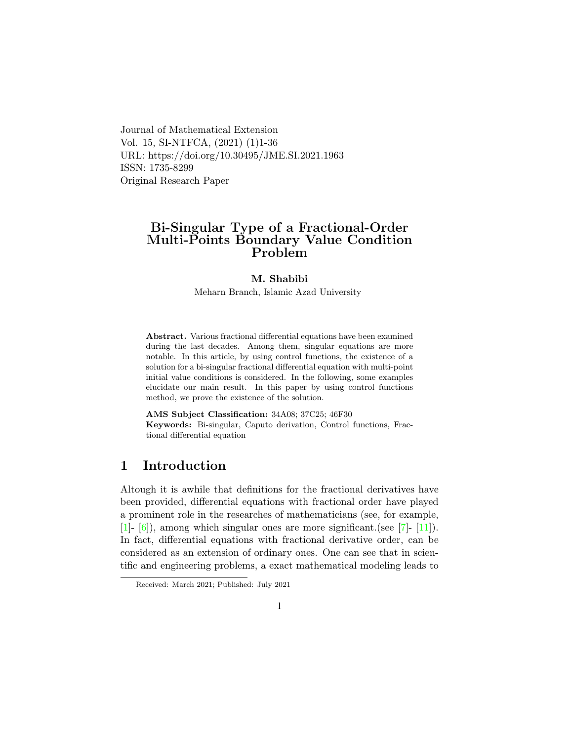Journal of Mathematical Extension Vol. 15, SI-NTFCA, (2021) (1)1-36 URL: https://doi.org/10.30495/JME.SI.2021.1963 ISSN: 1735-8299 Original Research Paper

## Bi-Singular Type of a Fractional-Order Multi-Points Boundary Value Condition Problem

### M. Shabibi

Meharn Branch, Islamic Azad University

Abstract. Various fractional differential equations have been examined during the last decades. Among them, singular equations are more notable. In this article, by using control functions, the existence of a solution for a bi-singular fractional differential equation with multi-point initial value conditions is considered. In the following, some examples elucidate our main result. In this paper by using control functions method, we prove the existence of the solution.

AMS Subject Classification: 34A08; 37C25; 46F30 Keywords: Bi-singular, Caputo derivation, Control functions, Fractional differential equation

## 1 Introduction

Altough it is awhile that definitions for the fractional derivatives have been provided, differential equations with fractional order have played a prominent role in the researches of mathematicians (see, for example, [\[1\]](#page-31-0)- [\[6\]](#page-32-0)), among which singular ones are more significant.(see [\[7\]](#page-32-1)- [\[11\]](#page-33-0)). In fact, differential equations with fractional derivative order, can be considered as an extension of ordinary ones. One can see that in scientific and engineering problems, a exact mathematical modeling leads to

Received: March 2021; Published: July 2021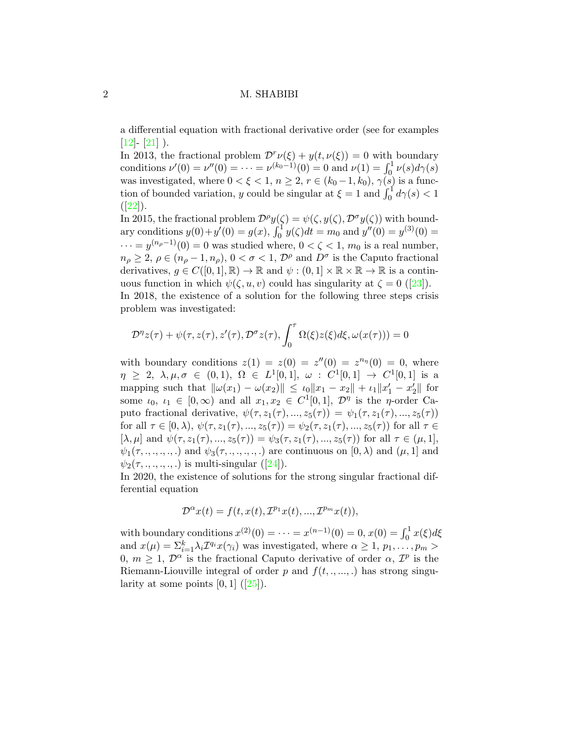a differential equation with fractional derivative order (see for examples  $[12] - [21]$  $[12] - [21]$  $[12] - [21]$ ).

In 2013, the fractional problem  $\mathcal{D}^r \nu(\xi) + y(t, \nu(\xi)) = 0$  with boundary conditions  $\nu'(0) = \nu''(0) = \cdots = \nu^{(k_0-1)}(0) = 0$  and  $\nu(1) = \int_0^1 \nu(s) d\gamma(s)$ was investigated, where  $0 < \xi < 1$ ,  $n \geq 2$ ,  $r \in (k_0 - 1, k_0)$ ,  $\gamma(s)$  is a function of bounded variation, y could be singular at  $\xi = 1$  and  $\int_0^1 d\gamma(s) < 1$  $([22])$  $([22])$  $([22])$ .

In 2015, the fractional problem  $\mathcal{D}^{\rho}y(\zeta) = \psi(\zeta, y(\zeta), \mathcal{D}^{\sigma}y(\zeta))$  with boundary conditions  $y(0) + y'(0) = g(x)$ ,  $\int_0^1 y(\zeta) dt = m_0$  and  $y''(0) = y^{(3)}(0) =$  $\cdots = y^{(n_\rho-1)}(0) = 0$  was studied where,  $0 < \zeta < 1$ ,  $m_0$  is a real number,  $n_{\rho} \geq 2, \rho \in (n_{\rho} - 1, n_{\rho}), 0 < \sigma < 1, \mathcal{D}^{\rho}$  and  $D^{\sigma}$  is the Caputo fractional derivatives,  $q \in C([0,1], \mathbb{R}) \to \mathbb{R}$  and  $\psi : (0,1] \times \mathbb{R} \times \mathbb{R} \to \mathbb{R}$  is a continuousfunction in which  $\psi(\zeta, u, v)$  could has singularity at  $\zeta = 0$  ([\[23\]](#page-34-2)).

In 2018, the existence of a solution for the following three steps crisis problem was investigated:

<span id="page-1-0"></span>
$$
\mathcal{D}^{\eta} z(\tau) + \psi(\tau, z(\tau), z'(\tau), \mathcal{D}^{\sigma} z(\tau), \int_0^{\tau} \Omega(\xi) z(\xi) d\xi, \omega(x(\tau))) = 0
$$

with boundary conditions  $z(1) = z(0) = z''(0) = z^{n_{\eta}}(0) = 0$ , where  $\eta \geq 2, \lambda, \mu, \sigma \in (0,1), \Omega \in L^1[0,1], \omega : C^1[0,1] \to C^1[0,1]$  is a mapping such that  $\|\omega(x_1) - \omega(x_2)\| \leq \iota_0 \|x_1 - x_2\| + \iota_1 \|x_1' - x_2'\|$  for some  $\iota_0, \iota_1 \in [0, \infty)$  and all  $x_1, x_2 \in C^1[0, 1], \mathcal{D}^{\eta}$  is the *η*-order Caputo fractional derivative,  $\psi(\tau, z_1(\tau), ..., z_5(\tau)) = \psi_1(\tau, z_1(\tau), ..., z_5(\tau))$ for all  $\tau \in [0, \lambda), \psi(\tau, z_1(\tau), ..., z_5(\tau)) = \psi_2(\tau, z_1(\tau), ..., z_5(\tau))$  for all  $\tau \in$  $[\lambda, \mu]$  and  $\psi(\tau, z_1(\tau), ..., z_5(\tau)) = \psi_3(\tau, z_1(\tau), ..., z_5(\tau))$  for all  $\tau \in (\mu, 1],$  $\psi_1(\tau, \ldots, \ldots, \ldots)$  and  $\psi_3(\tau, \ldots, \ldots, \ldots)$  are continuous on  $[0, \lambda)$  and  $(\mu, 1]$  and  $\psi_2(\tau, \ldots, \ldots, \ldots)$  $\psi_2(\tau, \ldots, \ldots, \ldots)$  $\psi_2(\tau, \ldots, \ldots, \ldots)$  is multi-singular ([\[24\]](#page-34-3)).

In 2020, the existence of solutions for the strong singular fractional differential equation

$$
\mathcal{D}^{\alpha}x(t) = f(t, x(t), \mathcal{I}^{p_1}x(t), ..., \mathcal{I}^{p_m}x(t)),
$$

with boundary conditions  $x^{(2)}(0) = \cdots = x^{(n-1)}(0) = 0, x(0) = \int_0^1 x(\xi) d\xi$ and  $x(\mu) = \sum_{i=1}^{k} \lambda_i \mathcal{I}^{q_i} x(\gamma_i)$  was investigated, where  $\alpha \geq 1, p_1, \ldots, p_m >$ 0,  $m \geq 1$ ,  $\mathcal{D}^{\alpha}$  is the fractional Caputo derivative of order  $\alpha$ ,  $\mathcal{I}^{p}$  is the Riemann-Liouville integral of order p and  $f(t, ..., ...)$  has strong singularityat some points  $[0, 1]$   $([25])$  $([25])$  $([25])$ .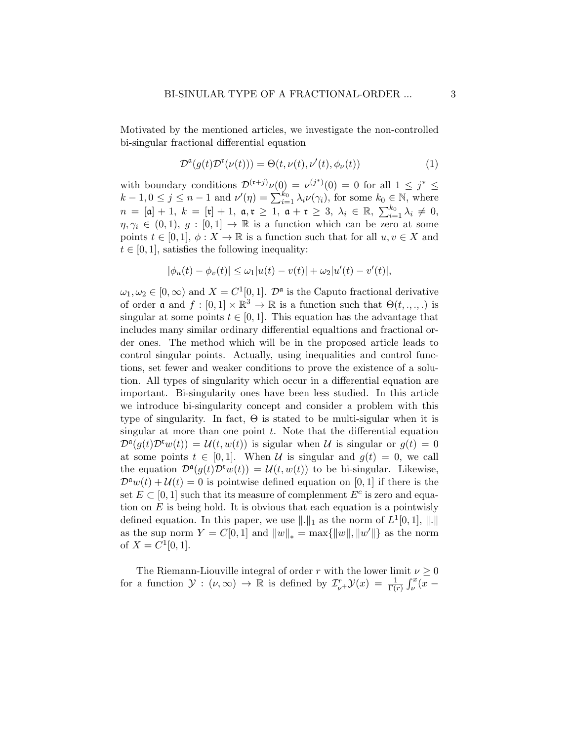Motivated by the mentioned articles, we investigate the non-controlled bi-singular fractional differential equation

$$
\mathcal{D}^{\mathfrak{a}}(g(t)\mathcal{D}^{\mathfrak{r}}(\nu(t))) = \Theta(t, \nu(t), \nu'(t), \phi_{\nu}(t))
$$
\n(1)

with boundary conditions  $\mathcal{D}^{(\mathfrak{r}+j)}\nu(0) = \nu^{(j^*)}(0) = 0$  for all  $1 \leq j^* \leq$  $k-1, 0 \le j \le n-1$  and  $\nu'(\eta) = \sum_{i=1}^{k_0} \lambda_i \nu(\gamma_i)$ , for some  $k_0 \in \mathbb{N}$ , where  $n = [\mathfrak{a}] + 1, k = [\mathfrak{r}] + 1, \mathfrak{a}, \mathfrak{r} \geq 1, \mathfrak{a} + \mathfrak{r} \geq 3, \lambda_i \in \mathbb{R}, \sum_{i=1}^{k_0} \lambda_i \neq 0,$  $\eta, \gamma_i \in (0, 1), g : [0, 1] \to \mathbb{R}$  is a function which can be zero at some points  $t \in [0,1], \phi: X \to \mathbb{R}$  is a function such that for all  $u, v \in X$  and  $t \in [0, 1]$ , satisfies the following inequality:

$$
|\phi_u(t) - \phi_v(t)| \le \omega_1 |u(t) - v(t)| + \omega_2 |u'(t) - v'(t)|,
$$

 $\omega_1, \omega_2 \in [0, \infty)$  and  $X = C^1[0, 1]$ .  $\mathcal{D}^{\mathfrak{a}}$  is the Caputo fractional derivative of order **a** and  $f : [0,1] \times \mathbb{R}^3 \to \mathbb{R}$  is a function such that  $\Theta(t, \ldots, \ldots)$  is singular at some points  $t \in [0, 1]$ . This equation has the advantage that includes many similar ordinary differential equaltions and fractional order ones. The method which will be in the proposed article leads to control singular points. Actually, using inequalities and control functions, set fewer and weaker conditions to prove the existence of a solution. All types of singularity which occur in a differential equation are important. Bi-singularity ones have been less studied. In this article we introduce bi-singularity concept and consider a problem with this type of singularity. In fact,  $\Theta$  is stated to be multi-sigular when it is singular at more than one point  $t$ . Note that the differential equation  $\mathcal{D}^{\mathfrak{a}}(g(t)\mathcal{D}^{\mathfrak{r}}w(t)) = \mathcal{U}(t,w(t))$  is sigular when  $\mathcal U$  is singular or  $g(t) = 0$ at some points  $t \in [0, 1]$ . When U is singular and  $g(t) = 0$ , we call the equation  $\mathcal{D}^{\mathfrak{a}}(g(t)\mathcal{D}^{\mathfrak{r}}w(t)) = \mathcal{U}(t,w(t))$  to be bi-singular. Likewise,  $\mathcal{D}^{\mathfrak{a}}w(t)+\mathcal{U}(t)=0$  is pointwise defined equation on [0, 1] if there is the set  $E \subset [0, 1]$  such that its measure of complemment  $E^c$  is zero and equation on  $E$  is being hold. It is obvious that each equation is a pointwisly defined equation. In this paper, we use  $\|\cdot\|_1$  as the norm of  $L^1[0,1], \|\cdot\|$ as the sup norm  $Y = C[0, 1]$  and  $||w||_* = \max{||w||, ||w'||}$  as the norm of  $X = C^1[0, 1].$ 

The Riemann-Liouville integral of order r with the lower limit  $\nu \geq 0$ for a function  $\mathcal{Y}: (\nu, \infty) \to \mathbb{R}$  is defined by  $\mathcal{I}_{\nu}^r \mathcal{Y}(x) = \frac{1}{\Gamma(r)} \int_{\nu}^x (x -$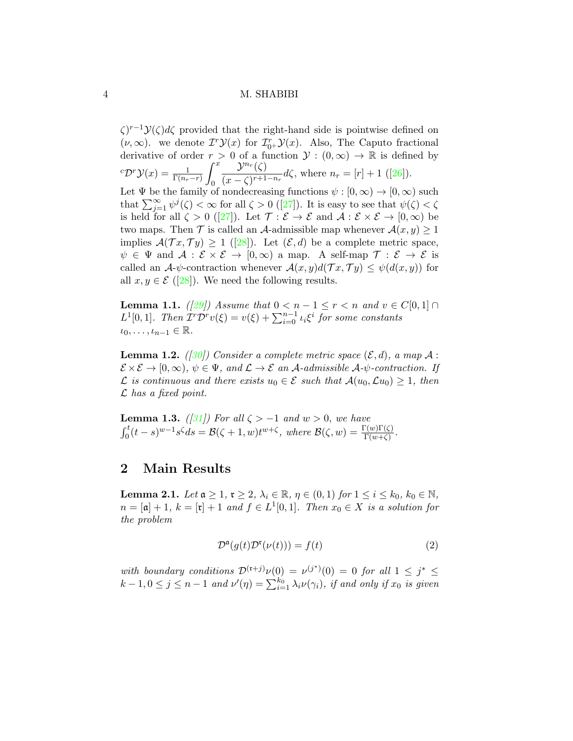$\zeta$ <sup>r-1</sup> $\mathcal{Y}(\zeta) d\zeta$  provided that the right-hand side is pointwise defined on  $(\nu, \infty)$ . we denote  $T^r \mathcal{Y}(x)$  for  $\mathcal{I}_{0^+}^r \mathcal{Y}(x)$ . Also, The Caputo fractional derivative of order  $r > 0$  of a function  $\mathcal{Y} : (0, \infty) \to \mathbb{R}$  is defined by  ${}^{c}\mathcal{D}^{r}\mathcal{Y}(x)=\frac{1}{\Gamma(n_{r}-r)}$  $\int_0^x$ 0  $\mathcal{Y}^{n_r}(\zeta)$  $\frac{S}{(x-\zeta)^{r+1-n_r}}d\zeta$ ,where  $n_r=[r]+1$  ([\[26\]](#page-34-5)). Let  $\Psi$  be the family of nondecreasing functions  $\psi : [0, \infty) \to [0, \infty)$  such that $\sum_{j=1}^{\infty} \psi^j(\zeta) < \infty$  for all  $\zeta > 0$  ([\[27\]](#page-34-6)). It is easy to see that  $\psi(\zeta) < \zeta$ isheld for all  $\zeta > 0$  ([\[27\]](#page-34-6)). Let  $\mathcal{T} : \mathcal{E} \to \mathcal{E}$  and  $\mathcal{A} : \mathcal{E} \times \mathcal{E} \to [0, \infty)$  be two maps. Then  $\mathcal T$  is called an A-admissible map whenever  $\mathcal A(x, y) \geq 1$ implies $\mathcal{A}(\mathcal{T}x, \mathcal{T}y) \geq 1$  ([\[28\]](#page-34-7)). Let  $(\mathcal{E}, d)$  be a complete metric space,  $\psi \in \Psi$  and  $\mathcal{A}: \mathcal{E} \times \mathcal{E} \to [0,\infty)$  a map. A self-map  $\mathcal{T}: \mathcal{E} \to \mathcal{E}$  is called an  $\mathcal{A}\text{-}\psi$ -contraction whenever  $\mathcal{A}(x, y)d(\mathcal{T}x, \mathcal{T}y) \leq \psi(d(x, y))$  for all  $x, y \in \mathcal{E}$  ([\[28\]](#page-34-7)). We need the following results.

<span id="page-3-1"></span>**Lemma 1.1.** ([\[29\]](#page-34-8)) Assume that  $0 < n - 1 \leq r < n$  and  $v \in C[0,1] \cap$  $L^1[0,1]$ . Then  $\overline{\mathcal{I}^r\mathcal{D}^r}v(\xi)=v(\xi)+\sum_{i=0}^{n-1}\iota_i\xi^i$  for some constants  $\iota_0, \ldots, \iota_{n-1} \in \mathbb{R}.$ 

<span id="page-3-2"></span>**Lemma 1.2.** ([\[30\]](#page-34-9)) Consider a complete metric space  $(\mathcal{E}, d)$ , a map A:  $\mathcal{E} \times \mathcal{E} \to [0, \infty), \psi \in \Psi$ , and  $\mathcal{L} \to \mathcal{E}$  an A-admissible A- $\psi$ -contraction. If  $\mathcal L$  is continuous and there exists  $u_0 \in \mathcal E$  such that  $\mathcal A(u_0,\mathcal Lu_0) \geq 1$ , then  $\mathcal L$  has a fixed point.

<span id="page-3-3"></span>**Lemma 1.3.** ([\[31\]](#page-35-0)) For all  $\zeta > -1$  and  $w > 0$ , we have  $\int_0^t (t-s)^{w-1} s^\zeta ds = \mathcal{B}(\zeta+1, w)t^{w+\zeta}, \text{ where } \mathcal{B}(\zeta, w) = \frac{\Gamma(w)\Gamma(\zeta)}{\Gamma(w+\zeta)}.$ 

## 2 Main Results

**Lemma 2.1.** Let  $\mathfrak{a} \geq 1$ ,  $\mathfrak{r} \geq 2$ ,  $\lambda_i \in \mathbb{R}$ ,  $\eta \in (0,1)$  for  $1 \leq i \leq k_0$ ,  $k_0 \in \mathbb{N}$ ,  $n = [\mathfrak{a}] + 1$ ,  $k = [\mathfrak{r}] + 1$  and  $f \in L^1[0,1]$ . Then  $x_0 \in X$  is a solution for the problem

<span id="page-3-0"></span>
$$
\mathcal{D}^{\mathfrak{a}}(g(t)\mathcal{D}^{\mathfrak{r}}(\nu(t))) = f(t) \tag{2}
$$

with boundary conditions  $\mathcal{D}^{(r+j)}\nu(0) = \nu^{(j^*)}(0) = 0$  for all  $1 \leq j^* \leq$  $k-1, 0 \le j \le n-1$  and  $\nu'(\eta) = \sum_{i=1}^{k_0} \lambda_i \nu(\gamma_i)$ , if and only if  $x_0$  is given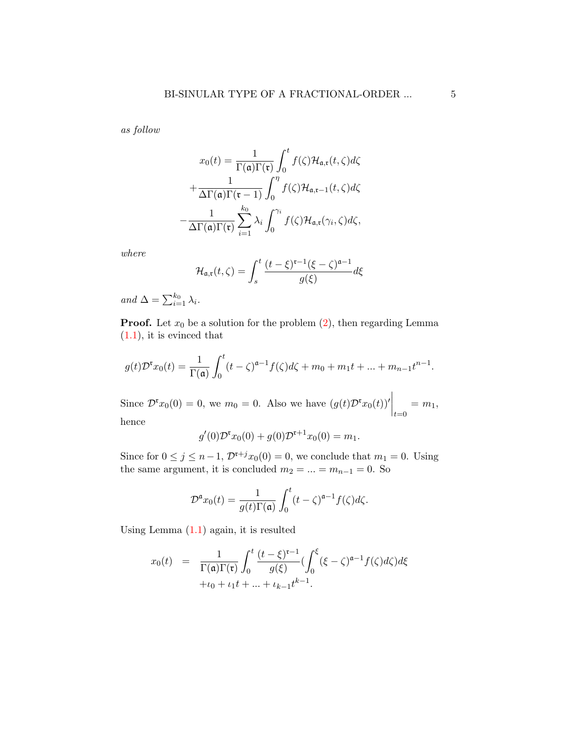as follow

<span id="page-4-0"></span>
$$
x_0(t) = \frac{1}{\Gamma(\mathfrak{a})\Gamma(\mathfrak{r})} \int_0^t f(\zeta) \mathcal{H}_{\mathfrak{a},\mathfrak{r}}(t,\zeta) d\zeta
$$

$$
+ \frac{1}{\Delta \Gamma(\mathfrak{a})\Gamma(\mathfrak{r}-1)} \int_0^{\eta} f(\zeta) \mathcal{H}_{\mathfrak{a},\mathfrak{r}-1}(t,\zeta) d\zeta
$$

$$
- \frac{1}{\Delta \Gamma(\mathfrak{a})\Gamma(\mathfrak{r})} \sum_{i=1}^{k_0} \lambda_i \int_0^{\gamma_i} f(\zeta) \mathcal{H}_{\mathfrak{a},\mathfrak{r}}(\gamma_i,\zeta) d\zeta,
$$

where

$$
\mathcal{H}_{\mathfrak{a},\mathfrak{r}}(t,\zeta) = \int_s^t \frac{(t-\xi)^{\mathfrak{r}-1}(\xi-\zeta)^{\mathfrak{a}-1}}{g(\xi)}d\xi
$$

and  $\Delta = \sum_{i=1}^{k_0} \lambda_i$ .

**Proof.** Let  $x_0$  be a solution for the problem  $(2)$ , then regarding Lemma  $(1.1)$ , it is evinced that

$$
g(t)\mathcal{D}^{\mathfrak{r}}x_0(t) = \frac{1}{\Gamma(\mathfrak{a})}\int_0^t (t-\zeta)^{\mathfrak{a}-1}f(\zeta)d\zeta + m_0 + m_1t + \dots + m_{n-1}t^{n-1}.
$$

Since  $\mathcal{D}^{\mathfrak{r}} x_0(0) = 0$ , we  $m_0 = 0$ . Also we have  $(g(t)\mathcal{D}^{\mathfrak{r}} x_0(t))' \Big|_{t=0}$  $= m_1$ , hence

$$
g'(0)\mathcal{D}^{\mathfrak{r}} x_0(0) + g(0)\mathcal{D}^{\mathfrak{r}+1} x_0(0) = m_1.
$$

Since for  $0 \le j \le n-1$ ,  $\mathcal{D}^{r+j}x_0(0) = 0$ , we conclude that  $m_1 = 0$ . Using the same argument, it is concluded  $m_2 = ... = m_{n-1} = 0$ . So

$$
\mathcal{D}^{\mathfrak{a}}x_0(t) = \frac{1}{g(t)\Gamma(\mathfrak{a})} \int_0^t (t-\zeta)^{\mathfrak{a}-1} f(\zeta) d\zeta.
$$

Using Lemma [\(1.1\)](#page-3-1) again, it is resulted

$$
x_0(t) = \frac{1}{\Gamma(\mathfrak{a})\Gamma(\mathfrak{r})} \int_0^t \frac{(t-\xi)^{\mathfrak{r}-1}}{g(\xi)} (\int_0^{\xi} (\xi-\zeta)^{\mathfrak{a}-1} f(\zeta) d\zeta) d\xi
$$
  
 
$$
+ \iota_0 + \iota_1 t + \dots + \iota_{k-1} t^{k-1}.
$$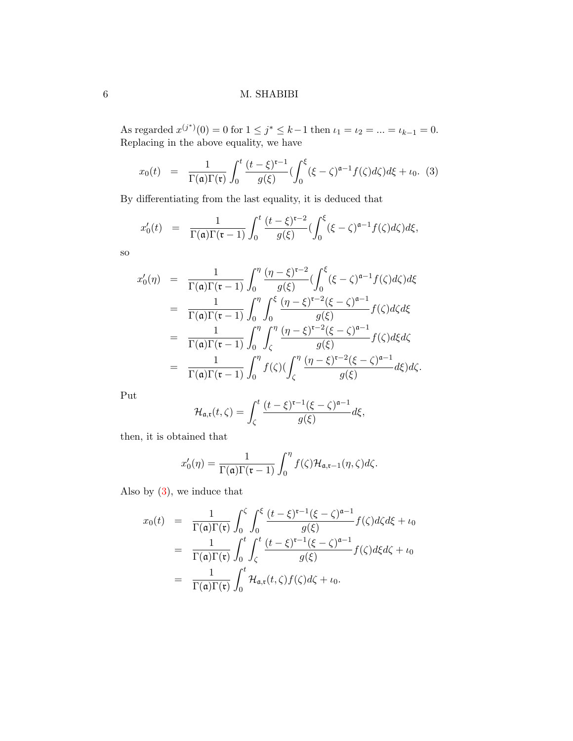As regarded  $x^{(j^*)}(0) = 0$  for  $1 \le j^* \le k-1$  then  $\iota_1 = \iota_2 = ... = \iota_{k-1} = 0$ . Replacing in the above equality, we have

$$
x_0(t) = \frac{1}{\Gamma(\mathfrak{a})\Gamma(\mathfrak{r})} \int_0^t \frac{(t-\xi)^{\mathfrak{r}-1}}{g(\xi)} \left(\int_0^{\xi} (\xi-\zeta)^{\mathfrak{a}-1} f(\zeta) d\zeta\right) d\xi + \iota_0. \tag{3}
$$

By differentiating from the last equality, it is deduced that

<span id="page-5-0"></span>
$$
x'_0(t) = \frac{1}{\Gamma(\mathfrak{a})\Gamma(\mathfrak{r}-1)} \int_0^t \frac{(t-\xi)^{\mathfrak{r}-2}}{g(\xi)} \left(\int_0^{\xi} (\xi-\zeta)^{\mathfrak{a}-1} f(\zeta) d\zeta\right) d\xi,
$$

so

$$
x'_0(\eta) = \frac{1}{\Gamma(\mathfrak{a})\Gamma(\mathfrak{r}-1)} \int_0^{\eta} \frac{(\eta-\xi)^{\mathfrak{r}-2}}{g(\xi)} \left(\int_0^{\xi} (\xi-\zeta)^{\mathfrak{a}-1} f(\zeta) d\zeta\right) d\xi
$$
  
\n
$$
= \frac{1}{\Gamma(\mathfrak{a})\Gamma(\mathfrak{r}-1)} \int_0^{\eta} \int_0^{\xi} \frac{(\eta-\xi)^{\mathfrak{r}-2} (\xi-\zeta)^{\mathfrak{a}-1}}{g(\xi)} f(\zeta) d\zeta d\xi
$$
  
\n
$$
= \frac{1}{\Gamma(\mathfrak{a})\Gamma(\mathfrak{r}-1)} \int_0^{\eta} \int_{\zeta}^{\eta} \frac{(\eta-\xi)^{\mathfrak{r}-2} (\xi-\zeta)^{\mathfrak{a}-1}}{g(\xi)} f(\zeta) d\xi d\zeta
$$
  
\n
$$
= \frac{1}{\Gamma(\mathfrak{a})\Gamma(\mathfrak{r}-1)} \int_0^{\eta} f(\zeta) \left(\int_{\zeta}^{\eta} \frac{(\eta-\xi)^{\mathfrak{r}-2} (\xi-\zeta)^{\mathfrak{a}-1}}{g(\xi)} d\xi d\zeta.
$$

Put

$$
\mathcal{H}_{\mathfrak{a},\mathfrak{r}}(t,\zeta)=\int_{\zeta}^{t}\frac{(t-\xi)^{\mathfrak{r}-1}(\xi-\zeta)^{\mathfrak{a}-1}}{g(\xi)}d\xi,
$$

then, it is obtained that

$$
x'_{0}(\eta) = \frac{1}{\Gamma(\mathfrak{a})\Gamma(\mathfrak{r}-1)} \int_{0}^{\eta} f(\zeta) \mathcal{H}_{\mathfrak{a},\mathfrak{r}-1}(\eta,\zeta) d\zeta.
$$

Also by  $(3)$ , we induce that

$$
x_0(t) = \frac{1}{\Gamma(\mathfrak{a})\Gamma(\mathfrak{r})} \int_0^{\zeta} \int_0^{\xi} \frac{(t-\xi)^{\mathfrak{r}-1}(\xi-\zeta)^{\mathfrak{a}-1}}{g(\xi)} f(\zeta) d\zeta d\xi + \iota_0
$$
  

$$
= \frac{1}{\Gamma(\mathfrak{a})\Gamma(\mathfrak{r})} \int_0^t \int_{\zeta}^t \frac{(t-\xi)^{\mathfrak{r}-1}(\xi-\zeta)^{\mathfrak{a}-1}}{g(\xi)} f(\zeta) d\xi d\zeta + \iota_0
$$
  

$$
= \frac{1}{\Gamma(\mathfrak{a})\Gamma(\mathfrak{r})} \int_0^t \mathcal{H}_{\mathfrak{a},\mathfrak{r}}(t,\zeta) f(\zeta) d\zeta + \iota_0.
$$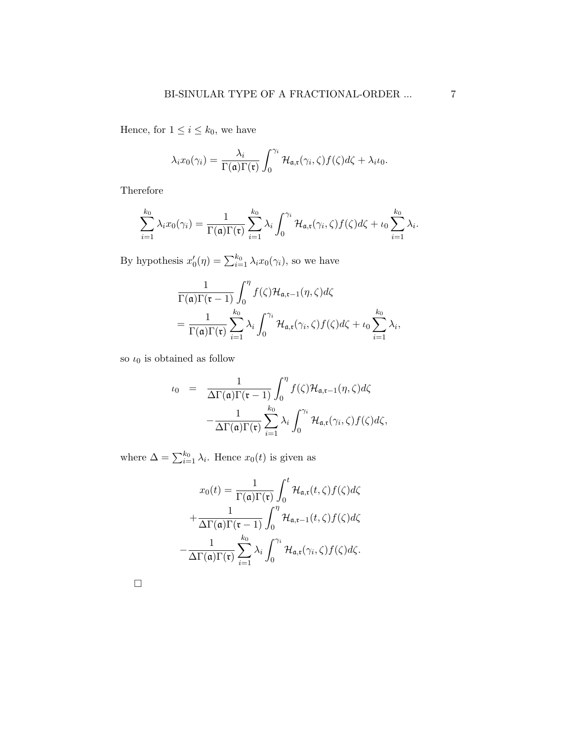Hence, for  $1 \leq i \leq k_0$ , we have

$$
\lambda_i x_0(\gamma_i) = \frac{\lambda_i}{\Gamma(\mathfrak{a}) \Gamma(\mathfrak{r})} \int_0^{\gamma_i} \mathcal{H}_{\mathfrak{a},\mathfrak{r}}(\gamma_i,\zeta) f(\zeta) d\zeta + \lambda_i \iota_0.
$$

Therefore

$$
\sum_{i=1}^{k_0} \lambda_i x_0(\gamma_i) = \frac{1}{\Gamma(\mathfrak{a}) \Gamma(\mathfrak{r})} \sum_{i=1}^{k_0} \lambda_i \int_0^{\gamma_i} \mathcal{H}_{\mathfrak{a},\mathfrak{r}}(\gamma_i,\zeta) f(\zeta) d\zeta + \iota_0 \sum_{i=1}^{k_0} \lambda_i.
$$

By hypothesis  $x'_0(\eta) = \sum_{i=1}^{k_0} \lambda_i x_0(\gamma_i)$ , so we have

$$
\frac{1}{\Gamma(\mathfrak{a})\Gamma(\mathfrak{r}-1)}\int_0^{\eta}f(\zeta)\mathcal{H}_{\mathfrak{a},\mathfrak{r}-1}(\eta,\zeta)d\zeta
$$
\n
$$
=\frac{1}{\Gamma(\mathfrak{a})\Gamma(\mathfrak{r})}\sum_{i=1}^{k_0}\lambda_i\int_0^{\gamma_i}\mathcal{H}_{\mathfrak{a},\mathfrak{r}}(\gamma_i,\zeta)f(\zeta)d\zeta+\iota_0\sum_{i=1}^{k_0}\lambda_i,
$$

so  $\iota_0$  is obtained as follow

$$
\iota_0 = \frac{1}{\Delta \Gamma(\mathfrak{a}) \Gamma(\mathfrak{r}-1)} \int_0^{\eta} f(\zeta) \mathcal{H}_{\mathfrak{a},\mathfrak{r}-1}(\eta,\zeta) d\zeta
$$

$$
-\frac{1}{\Delta \Gamma(\mathfrak{a}) \Gamma(\mathfrak{r})} \sum_{i=1}^{k_0} \lambda_i \int_0^{\gamma_i} \mathcal{H}_{\mathfrak{a},\mathfrak{r}}(\gamma_i,\zeta) f(\zeta) d\zeta,
$$

where  $\Delta = \sum_{i=1}^{k_0} \lambda_i$ . Hence  $x_0(t)$  is given as

$$
x_0(t) = \frac{1}{\Gamma(\mathfrak{a})\Gamma(\mathfrak{r})} \int_0^t \mathcal{H}_{\mathfrak{a},\mathfrak{r}}(t,\zeta) f(\zeta) d\zeta
$$

$$
+ \frac{1}{\Delta \Gamma(\mathfrak{a})\Gamma(\mathfrak{r}-1)} \int_0^\eta \mathcal{H}_{\mathfrak{a},\mathfrak{r}-1}(t,\zeta) f(\zeta) d\zeta
$$

$$
- \frac{1}{\Delta \Gamma(\mathfrak{a})\Gamma(\mathfrak{r})} \sum_{i=1}^{k_0} \lambda_i \int_0^{\gamma_i} \mathcal{H}_{\mathfrak{a},\mathfrak{r}}(\gamma_i,\zeta) f(\zeta) d\zeta.
$$

 $\Box$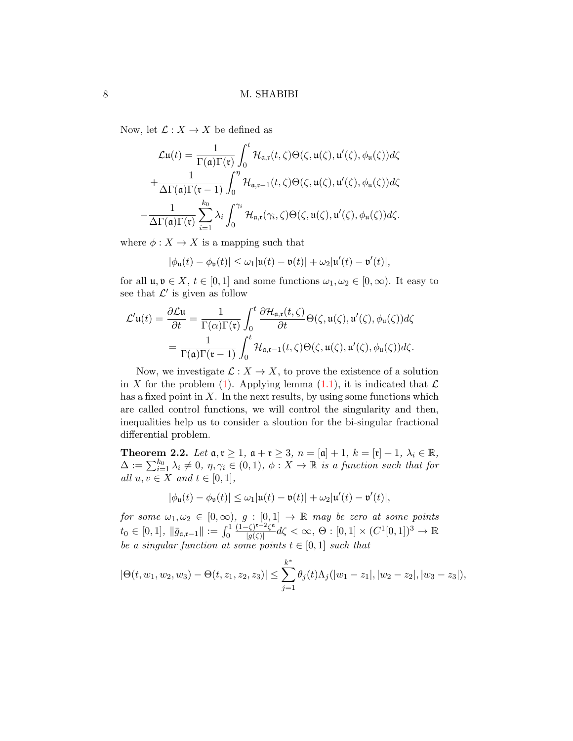Now, let  $\mathcal{L}: X \to X$  be defined as

$$
\mathcal{L}\mathbf{u}(t) = \frac{1}{\Gamma(\mathfrak{a})\Gamma(\mathfrak{r})} \int_0^t \mathcal{H}_{\mathfrak{a},\mathfrak{r}}(t,\zeta) \Theta(\zeta,\mathfrak{u}(\zeta),\mathfrak{u}'(\zeta),\phi_{\mathfrak{u}}(\zeta))d\zeta
$$

$$
+ \frac{1}{\Delta\Gamma(\mathfrak{a})\Gamma(\mathfrak{r}-1)} \int_0^\eta \mathcal{H}_{\mathfrak{a},\mathfrak{r}-1}(t,\zeta) \Theta(\zeta,\mathfrak{u}(\zeta),\mathfrak{u}'(\zeta),\phi_{\mathfrak{u}}(\zeta))d\zeta
$$

$$
- \frac{1}{\Delta\Gamma(\mathfrak{a})\Gamma(\mathfrak{r})} \sum_{i=1}^{k_0} \lambda_i \int_0^{\gamma_i} \mathcal{H}_{\mathfrak{a},\mathfrak{r}}(\gamma_i,\zeta) \Theta(\zeta,\mathfrak{u}(\zeta),\mathfrak{u}'(\zeta),\phi_{\mathfrak{u}}(\zeta))d\zeta.
$$

where  $\phi: X \to X$  is a mapping such that

$$
|\phi_{\mathfrak{u}}(t) - \phi_{\mathfrak{v}}(t)| \le \omega_1 |\mathfrak{u}(t) - \mathfrak{v}(t)| + \omega_2 |\mathfrak{u}'(t) - \mathfrak{v}'(t)|,
$$

for all  $\mathfrak{u}, \mathfrak{v} \in X$ ,  $t \in [0,1]$  and some functions  $\omega_1, \omega_2 \in [0,\infty)$ . It easy to see that  $\mathcal{L}'$  is given as follow

$$
\mathcal{L}'\mathfrak{u}(t) = \frac{\partial \mathcal{L}\mathfrak{u}}{\partial t} = \frac{1}{\Gamma(\alpha)\Gamma(\mathfrak{r})} \int_0^t \frac{\partial \mathcal{H}_{\mathfrak{a},\mathfrak{r}}(t,\zeta)}{\partial t} \Theta(\zeta,\mathfrak{u}(\zeta),\mathfrak{u}'(\zeta),\phi_{\mathfrak{u}}(\zeta))d\zeta
$$

$$
= \frac{1}{\Gamma(\mathfrak{a})\Gamma(\mathfrak{r}-1)} \int_0^t \mathcal{H}_{\mathfrak{a},\mathfrak{r}-1}(t,\zeta) \Theta(\zeta,\mathfrak{u}(\zeta),\mathfrak{u}'(\zeta),\phi_{\mathfrak{u}}(\zeta))d\zeta.
$$

Now, we investigate  $\mathcal{L}: X \to X$ , to prove the existence of a solution in X for the problem [\(1\)](#page-1-0). Applying lemma [\(1.1\)](#page-3-1), it is indicated that  $\mathcal L$ has a fixed point in  $X$ . In the next results, by using some functions which are called control functions, we will control the singularity and then, inequalities help us to consider a sloution for the bi-singular fractional differential problem.

<span id="page-7-0"></span>**Theorem 2.2.** Let  $\mathfrak{a}, \mathfrak{r} \geq 1$ ,  $\mathfrak{a} + \mathfrak{r} \geq 3$ ,  $n = [\mathfrak{a}] + 1$ ,  $k = [\mathfrak{r}] + 1$ ,  $\lambda_i \in \mathbb{R}$ ,  $\Delta := \sum_{i=1}^{k_0} \lambda_i \neq 0, \eta, \gamma_i \in (0,1), \phi: X \to \mathbb{R}$  is a function such that for all  $u, v \in X$  and  $t \in [0, 1]$ ,

$$
|\phi_{\mathfrak{u}}(t) - \phi_{\mathfrak{v}}(t)| \le \omega_1 |\mathfrak{u}(t) - \mathfrak{v}(t)| + \omega_2 |\mathfrak{u}'(t) - \mathfrak{v}'(t)|,
$$

for some  $\omega_1, \omega_2 \in [0, \infty)$ ,  $g : [0, 1] \rightarrow \mathbb{R}$  may be zero at some points  $t_0 \in [0,1], \|\bar{g}_{\mathfrak{a},\mathfrak{r}-1}\| := \int_0^1$  $(1-\zeta)^{r-2}\zeta^{\mathfrak{a}}$  $\frac{1}{|g(\zeta)|} \frac{1}{|g(\zeta)|} d\zeta < \infty, \ \Theta : [0,1] \times (C^1[0,1])^3 \to \mathbb{R}$ be a singular function at some points  $t \in [0,1]$  such that

$$
|\Theta(t, w_1, w_2, w_3) - \Theta(t, z_1, z_2, z_3)| \le \sum_{j=1}^{k^*} \theta_j(t) \Lambda_j(|w_1 - z_1|, |w_2 - z_2|, |w_3 - z_3|),
$$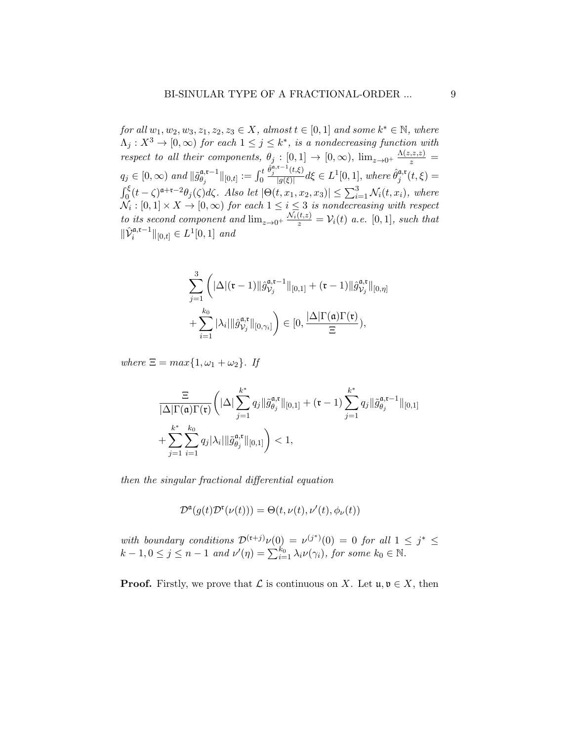for all  $w_1, w_2, w_3, z_1, z_2, z_3 \in X$ , almost  $t \in [0, 1]$  and some  $k^* \in \mathbb{N}$ , where  $\Lambda_j: X^3 \to [0, \infty)$  for each  $1 \leq j \leq k^*$ , is a nondecreasing function with respect to all their components,  $\theta_j : [0,1] \to [0,\infty)$ ,  $\lim_{z\to 0^+} \frac{\Lambda(z,z,z)}{z}$  $q_j \in [0, \infty)$  and  $\|\tilde{g}_{\theta_i}^{\mathfrak{a},\mathfrak{r}-1}$  $_{\theta_j}^{\mathfrak{a},\mathfrak{r}-1} \|_{[0,t]} := \int_0^t$  $\hat{\theta}_j^{\mathfrak{a},\mathfrak{r}-1}(t,\xi)$  $\frac{\partial f(t,\xi)}{\partial g(\xi)}d\xi \in L^1[0,1],$  where  $\hat{\theta}_j^{\mathfrak{a},\mathfrak{r}}$  $j^{\mathfrak{a},\mathfrak{r}}(t,\xi)=$  $\int_0^{\xi} (t-\zeta)^{\mathfrak{a}+\mathfrak{r}-2} \theta_j(\zeta) d\zeta$ . Also let  $|\Theta(t, x_1, x_2, x_3)| \leq \sum_{i=1}^3 \mathcal{N}_i(t, x_i)$ , where  $\mathcal{N}_i: [0,1] \times X \rightarrow [0,\infty)$  for each  $1 \leq i \leq 3$  is nondecreasing with respect to its second component and  $\lim_{z\to 0^+} \frac{\mathcal{N}_i(t,z)}{z} = \mathcal{V}_i(t)$  a.e.  $[0,1]$ , such that  $\|\hat{\mathcal{V}}_i^{\mathfrak{a},\mathfrak{r}-1}\|_{[0,t]} \in L^1[0,1]$  and

$$
\sum_{j=1}^{3} \left( |\Delta|(\mathfrak{r} - 1)||\hat{g}_{\mathcal{V}_j}^{\mathfrak{a},\mathfrak{r}-1}||_{[0,1]} + (\mathfrak{r} - 1)||\hat{g}_{\mathcal{V}_j}^{\mathfrak{a},\mathfrak{r}}||_{[0,\eta]} + \sum_{i=1}^{k_0} |\lambda_i| ||\hat{g}_{\mathcal{V}_j}^{\mathfrak{a},\mathfrak{r}}||_{[0,\gamma_i]} \right) \in [0, \frac{|\Delta| \Gamma(\mathfrak{a}) \Gamma(\mathfrak{r})}{\Xi}),
$$

where  $\Xi = max\{1, \omega_1 + \omega_2\}$ . If

$$
\frac{\Xi}{|\Delta|\Gamma(\mathfrak{a})\Gamma(\mathfrak{r})}\bigg(|\Delta|\sum_{j=1}^{k^*}q_j\|\tilde{g}_{\theta_j}^{\mathfrak{a},\mathfrak{r}}\|_{[0,1]}+(\mathfrak{r}-1)\sum_{j=1}^{k^*}q_j\|\tilde{g}_{\theta_j}^{\mathfrak{a},\mathfrak{r}-1}\|_{[0,1]}\\+\sum_{j=1}^{k^*}\sum_{i=1}^{k_0}q_j|\lambda_i|\|\tilde{g}_{\theta_j}^{\mathfrak{a},\mathfrak{r}}\|_{[0,1]}\bigg)<1,
$$

then the singular fractional differential equation

$$
\mathcal{D}^{\mathfrak{a}}(g(t)\mathcal{D}^{\mathfrak{r}}(\nu(t))) = \Theta(t, \nu(t), \nu'(t), \phi_{\nu}(t))
$$

with boundary conditions  $\mathcal{D}^{(r+j)}\nu(0) = \nu^{(j^*)}(0) = 0$  for all  $1 \leq j^* \leq$  $k-1, 0 \leq j \leq n-1$  and  $\nu'(\eta) = \sum_{i=1}^{k_0} \lambda_i \nu(\gamma_i)$ , for some  $k_0 \in \mathbb{N}$ .

**Proof.** Firstly, we prove that  $\mathcal L$  is continuous on X. Let  $\mathfrak u, \mathfrak v \in X$ , then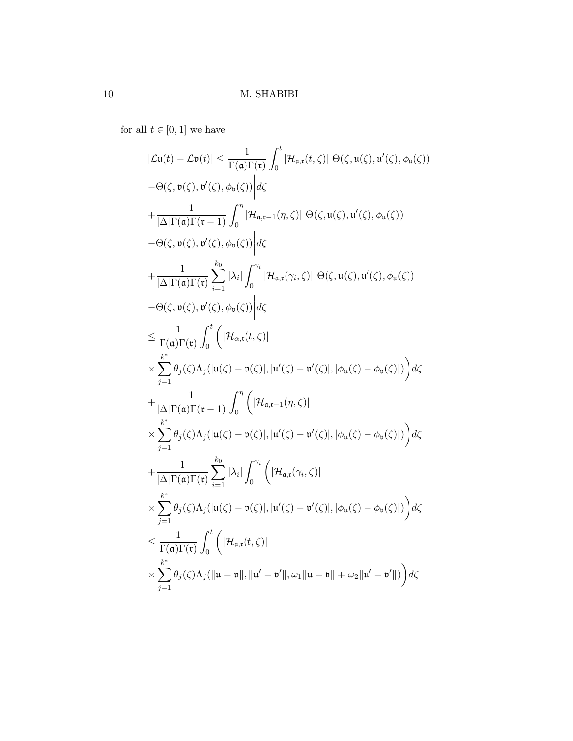for all  $t\in [0,1]$  we have

$$
|\mathcal{L}u(t) - \mathcal{L}v(t)| \leq \frac{1}{\Gamma(\mathfrak{a})\Gamma(\mathfrak{r})} \int_{0}^{t} |\mathcal{H}_{\mathfrak{a},\mathfrak{r}}(t,\zeta)| \Big| \Theta(\zeta, u(\zeta), u'(\zeta), \phi_{u}(\zeta))
$$
  
\n
$$
- \Theta(\zeta, v(\zeta), v'(\zeta), \phi_{v}(\zeta)) \Big| d\zeta
$$
  
\n
$$
+ \frac{1}{|\Delta|\Gamma(\mathfrak{a})\Gamma(\mathfrak{r}-1)} \int_{0}^{\eta} |\mathcal{H}_{\mathfrak{a},\mathfrak{r}-1}(\eta,\zeta)| \Big| \Theta(\zeta, u(\zeta), u'(\zeta), \phi_{u}(\zeta))
$$
  
\n
$$
- \Theta(\zeta, v(\zeta), v'(\zeta), \phi_{v}(\zeta)) \Big| d\zeta
$$
  
\n
$$
+ \frac{1}{|\Delta|\Gamma(\mathfrak{a})\Gamma(\mathfrak{r})} \sum_{i=1}^{k_{0}} |\lambda_{i}| \int_{0}^{\gamma_{i}} |\mathcal{H}_{\mathfrak{a},\mathfrak{r}}(\gamma_{i},\zeta)| \Big| \Theta(\zeta, u(\zeta), u'(\zeta), \phi_{u}(\zeta))
$$
  
\n
$$
- \Theta(\zeta, v(\zeta), v'(\zeta), \phi_{v}(\zeta)) \Big| d\zeta
$$
  
\n
$$
\leq \frac{1}{\Gamma(\mathfrak{a})\Gamma(\mathfrak{r})} \int_{0}^{t} (|\mathcal{H}_{\alpha,\mathfrak{r}}(t,\zeta)|
$$
  
\n
$$
\times \sum_{j=1}^{k^{*}} \theta_{j}(\zeta) \Lambda_{j}(|u(\zeta)-v(\zeta)|, |u'(\zeta)-v'(\zeta)|, |\phi_{u}(\zeta)-\phi_{v}(\zeta)|) d\zeta
$$
  
\n
$$
+ \frac{1}{|\Delta|\Gamma(\mathfrak{a})\Gamma(\mathfrak{r}-1)} \int_{0}^{\eta} (|\mathcal{H}_{\mathfrak{a},\mathfrak{r}-1}(\eta,\zeta)|
$$
  
\n
$$
\times \sum_{j=1}^{k^{*}} \theta_{j}(\zeta) \Lambda_{j}(|u(\zeta)-v(\
$$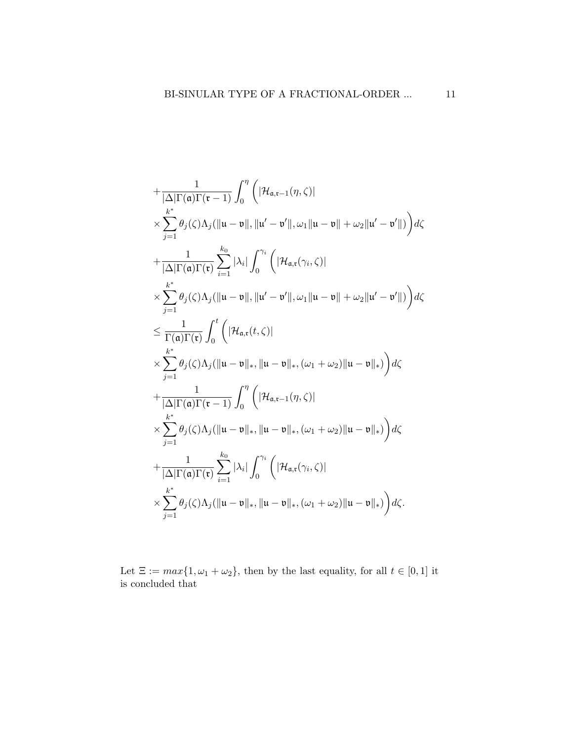$$
+\frac{1}{|\Delta|\Gamma(\mathfrak{a})\Gamma(\mathfrak{r}-1)}\int_{0}^{\eta}\left(|\mathcal{H}_{\mathfrak{a},\mathfrak{r}-1}(\eta,\zeta)|\right.\times\sum_{j=1}^{k^{*}}\theta_{j}(\zeta)\Lambda_{j}(\Vert\mathfrak{u}-\mathfrak{v}\Vert,\Vert\mathfrak{u}'-\mathfrak{v}'\Vert,\omega_{1}\Vert\mathfrak{u}-\mathfrak{v}\Vert+\omega_{2}\Vert\mathfrak{u}'-\mathfrak{v}'\Vert)\right)d\zeta
$$
  
+
$$
\frac{1}{|\Delta|\Gamma(\mathfrak{a})\Gamma(\mathfrak{r})}\sum_{i=1}^{k_{0}}|\lambda_{i}|\int_{0}^{\gamma_{i}}\left(|\mathcal{H}_{\mathfrak{a},\mathfrak{r}}(\gamma_{i},\zeta)|\right.\times\sum_{j=1}^{k^{*}}\theta_{j}(\zeta)\Lambda_{j}(\Vert\mathfrak{u}-\mathfrak{v}\Vert,\Vert\mathfrak{u}'-\mathfrak{v}'\Vert,\omega_{1}\Vert\mathfrak{u}-\mathfrak{v}\Vert+\omega_{2}\Vert\mathfrak{u}'-\mathfrak{v}'\Vert)\right)d\zeta
$$
  

$$
\leq\frac{1}{\Gamma(\mathfrak{a})\Gamma(\mathfrak{r})}\int_{0}^{t}\left(|\mathcal{H}_{\mathfrak{a},\mathfrak{r}}(t,\zeta)|\right.\times\sum_{j=1}^{k^{*}}\theta_{j}(\zeta)\Lambda_{j}(\Vert\mathfrak{u}-\mathfrak{v}\Vert_{*},\Vert\mathfrak{u}-\mathfrak{v}\Vert_{*},(\omega_{1}+\omega_{2})\Vert\mathfrak{u}-\mathfrak{v}\Vert_{*})\right)d\zeta
$$
  
+
$$
\frac{1}{|\Delta|\Gamma(\mathfrak{a})\Gamma(\mathfrak{r}-1)}\int_{0}^{\eta}\left(|\mathcal{H}_{\mathfrak{a},\mathfrak{r}-1}(\eta,\zeta)|\right.\times\sum_{j=1}^{k^{*}}\theta_{j}(\zeta)\Lambda_{j}(\Vert\mathfrak{u}-\mathfrak{v}\Vert_{*},\Vert\mathfrak{u}-\mathfrak{v}\Vert_{*},(\omega_{1}+\omega_{2})\Vert\mathfrak{u}-\mathfrak{v}\Vert_{*})\right)d\zeta
$$
  
+

Let  $\Xi:=\max\{1,\omega_1+\omega_2\},$  then by the last equality, for all  $t\in[0,1]$  it is concluded that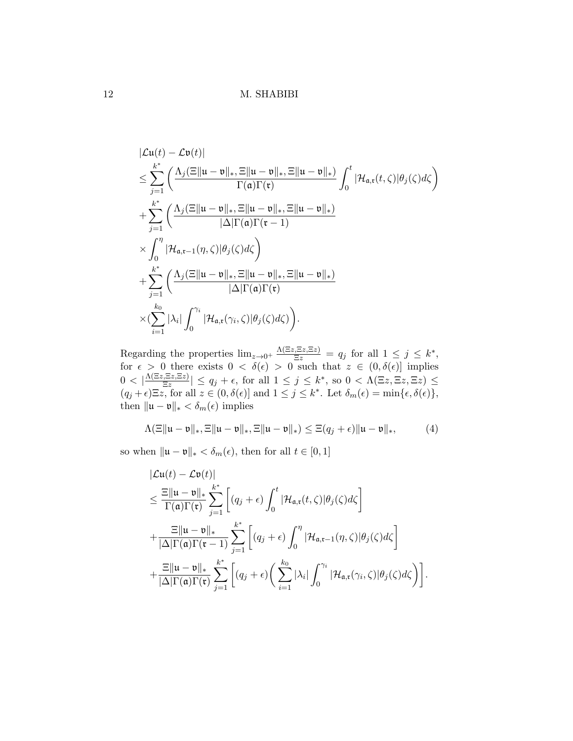$$
\begin{split}\n&|\mathcal{L}\mathfrak{u}(t)-\mathcal{L}\mathfrak{v}(t)| \\
&\leq \sum_{j=1}^{k^*} \left(\frac{\Lambda_j(\Xi\|\mathfrak{u}-\mathfrak{v}\|_*,\Xi\|\mathfrak{u}-\mathfrak{v}\|_*,\Xi\|\mathfrak{u}-\mathfrak{v}\|_*\right)}{\Gamma(\mathfrak{a})\Gamma(\mathfrak{r})}\int_0^t |\mathcal{H}_{\mathfrak{a},\mathfrak{r}}(t,\zeta)|\theta_j(\zeta)d\zeta \\
&+\sum_{j=1}^{k^*} \left(\frac{\Lambda_j(\Xi\|\mathfrak{u}-\mathfrak{v}\|_*,\Xi\|\mathfrak{u}-\mathfrak{v}\|_*,\Xi\|\mathfrak{u}-\mathfrak{v}\|_*\right)}{|\Delta|\Gamma(\mathfrak{a})\Gamma(\mathfrak{r}-1)} \\
&\times \int_0^\eta |\mathcal{H}_{\mathfrak{a},\mathfrak{r}-1}(\eta,\zeta)|\theta_j(\zeta)d\zeta \\
&+\sum_{j=1}^{k^*} \left(\frac{\Lambda_j(\Xi\|\mathfrak{u}-\mathfrak{v}\|_*,\Xi\|\mathfrak{u}-\mathfrak{v}\|_*,\Xi\|\mathfrak{u}-\mathfrak{v}\|_*\right)}{|\Delta|\Gamma(\mathfrak{a})\Gamma(\mathfrak{r})} \\
&\times (\sum_{i=1}^{k_0} |\lambda_i| \int_0^{\gamma_i} |\mathcal{H}_{\mathfrak{a},\mathfrak{r}}(\gamma_i,\zeta)|\theta_j(\zeta)d\zeta)\right).\n\end{split}
$$

Regarding the properties  $\lim_{z\to 0^+} \frac{\Lambda(\Xi z, \Xi z, \Xi z)}{\Xi z} = q_j$  for all  $1 \le j \le k^*$ , for  $\epsilon > 0$  there exists  $0 < \delta(\epsilon) > 0$  such that  $z \in (0, \delta(\epsilon))$  implies  $0 < |\frac{\Lambda(\Xi z,\Xi z,\Xi z)}{\Xi z}|$  $\frac{\sqrt{15z}}{\sqrt{15z}}$   $| \leq q_j + \epsilon$ , for all  $1 \leq j \leq k^*$ , so  $0 < \Lambda(\Xi z, \Xi z, \Xi z) \leq$  $(q_j + \epsilon) \Xi z$ , for all  $z \in (0, \delta(\epsilon))$  and  $1 \leq j \leq k^*$ . Let  $\delta_m(\epsilon) = \min{\{\epsilon, \delta(\epsilon)\}}$ , then  $\|\mathfrak{u} - \mathfrak{v}\|_* < \delta_m(\epsilon)$  implies

$$
\Lambda(\Xi\|\mathfrak{u}-\mathfrak{v}\|_*, \Xi\|\mathfrak{u}-\mathfrak{v}\|_*, \Xi\|\mathfrak{u}-\mathfrak{v}\|_*) \leq \Xi(q_j+\epsilon)\|\mathfrak{u}-\mathfrak{v}\|_*,\tag{4}
$$

so when  $\| \mathfrak{u} - \mathfrak{v} \|_* < \delta_m(\epsilon),$  then for all  $t \in [0,1]$ 

<span id="page-11-0"></span>
$$
\begin{split}\n|\mathcal{L}\mathbf{u}(t) - \mathcal{L}\mathbf{v}(t)| \\
&\leq \frac{\mathbb{E}||\mathbf{u} - \mathbf{v}||_*}{\Gamma(\mathfrak{a})\Gamma(\mathfrak{r})} \sum_{j=1}^{k^*} \left[ (q_j + \epsilon) \int_0^t |\mathcal{H}_{\mathfrak{a},\mathfrak{r}}(t,\zeta)| \theta_j(\zeta) d\zeta \right] \\
&+ \frac{\mathbb{E}||\mathbf{u} - \mathbf{v}||_*}{|\Delta|\Gamma(\mathfrak{a})\Gamma(\mathfrak{r} - 1)} \sum_{j=1}^{k^*} \left[ (q_j + \epsilon) \int_0^\eta |\mathcal{H}_{\mathfrak{a},\mathfrak{r}-1}(\eta,\zeta)| \theta_j(\zeta) d\zeta \right] \\
&+ \frac{\mathbb{E}||\mathbf{u} - \mathbf{v}||_*}{|\Delta|\Gamma(\mathfrak{a})\Gamma(\mathfrak{r})} \sum_{j=1}^{k^*} \left[ (q_j + \epsilon) \left( \sum_{i=1}^{k_0} |\lambda_i| \int_0^{\gamma_i} |\mathcal{H}_{\mathfrak{a},\mathfrak{r}}(\gamma_i,\zeta)| \theta_j(\zeta) d\zeta \right) \right].\n\end{split}
$$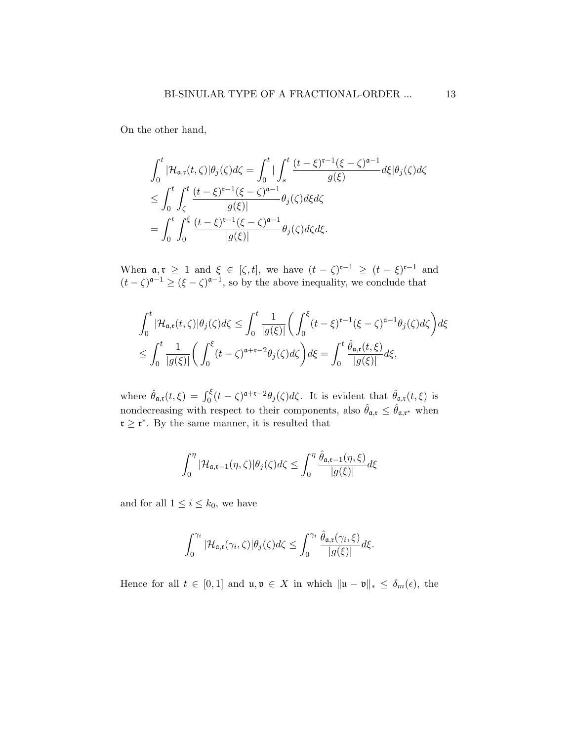On the other hand,

$$
\int_0^t |\mathcal{H}_{\mathfrak{a},\mathfrak{r}}(t,\zeta)|\theta_j(\zeta)d\zeta = \int_0^t \Big| \int_s^t \frac{(t-\xi)^{\mathfrak{r}-1}(\xi-\zeta)^{\mathfrak{a}-1}}{g(\xi)} d\xi|\theta_j(\zeta)d\zeta
$$
  
\n
$$
\leq \int_0^t \int_{\zeta}^t \frac{(t-\xi)^{\mathfrak{r}-1}(\xi-\zeta)^{\mathfrak{a}-1}}{|g(\xi)|} \theta_j(\zeta)d\xi d\zeta
$$
  
\n
$$
= \int_0^t \int_0^{\xi} \frac{(t-\xi)^{\mathfrak{r}-1}(\xi-\zeta)^{\mathfrak{a}-1}}{|g(\xi)|} \theta_j(\zeta)d\zeta d\xi.
$$

When  $\mathfrak{a}, \mathfrak{r} \geq 1$  and  $\xi \in [\zeta, t]$ , we have  $(t - \zeta)^{\mathfrak{r}-1} \geq (t - \xi)^{\mathfrak{r}-1}$  and  $(t-\zeta)^{\mathfrak{a}-1} \geq (\xi-\zeta)^{\mathfrak{a}-1}$ , so by the above inequality, we conclude that

$$
\int_0^t |\mathcal{H}_{\mathfrak{a},\mathfrak{r}}(t,\zeta)|\theta_j(\zeta)d\zeta \le \int_0^t \frac{1}{|g(\xi)|} \bigg(\int_0^{\xi} (t-\xi)^{\mathfrak{r}-1}(\xi-\zeta)^{\mathfrak{a}-1}\theta_j(\zeta)d\zeta\bigg)d\xi
$$
  

$$
\le \int_0^t \frac{1}{|g(\xi)|} \bigg(\int_0^{\xi} (t-\zeta)^{\mathfrak{a}+\mathfrak{r}-2}\theta_j(\zeta)d\zeta\bigg)d\xi = \int_0^t \frac{\hat{\theta}_{\mathfrak{a},\mathfrak{r}}(t,\xi)}{|g(\xi)|}d\xi,
$$

where  $\hat{\theta}_{\mathfrak{a},\mathfrak{r}}(t,\xi) = \int_0^{\xi} (t-\zeta)^{\mathfrak{a}+\mathfrak{r}-2} \theta_j(\zeta) d\zeta$ . It is evident that  $\hat{\theta}_{\mathfrak{a},\mathfrak{r}}(t,\xi)$  is nondecreasing with respect to their components, also  $\hat{\theta}_{a,\mathfrak{x}} \leq \hat{\theta}_{a,\mathfrak{x}^*}$  when  $\mathfrak{r} \geq \mathfrak{r}^*$ . By the same manner, it is resulted that

$$
\int_0^{\eta} |\mathcal{H}_{\mathfrak{a}, \mathfrak{r}-1}(\eta, \zeta)| \theta_j(\zeta) d\zeta \le \int_0^{\eta} \frac{\hat{\theta}_{\mathfrak{a}, \mathfrak{r}-1}(\eta, \xi)}{|g(\xi)|} d\xi
$$

and for all  $1 \leq i \leq k_0$ , we have

$$
\int_0^{\gamma_i} |\mathcal{H}_{\mathfrak{a},\mathfrak{r}}(\gamma_i,\zeta)| \theta_j(\zeta) d\zeta \leq \int_0^{\gamma_i} \frac{\hat{\theta}_{\mathfrak{a},\mathfrak{r}}(\gamma_i,\xi)}{|g(\xi)|} d\xi.
$$

Hence for all  $t \in [0,1]$  and  $\mathfrak{u}, \mathfrak{v} \in X$  in which  $\|\mathfrak{u} - \mathfrak{v}\|_* \leq \delta_m(\epsilon)$ , the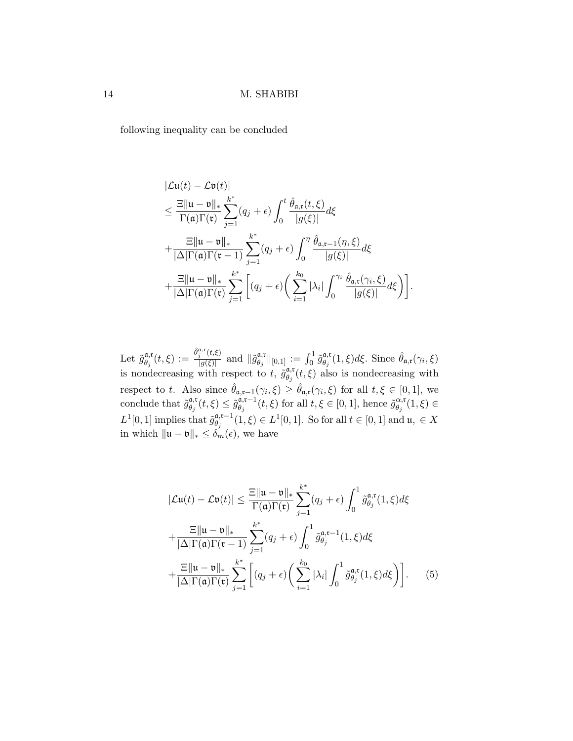following inequality can be concluded

$$
\begin{split}\n|\mathcal{L}\mathbf{u}(t) - \mathcal{L}\mathbf{v}(t)| \\
&\leq \frac{\Xi \|\mathbf{u} - \mathbf{v}\|_{*}}{\Gamma(\mathbf{a})\Gamma(\mathbf{r})} \sum_{j=1}^{k^{*}} (q_{j} + \epsilon) \int_{0}^{t} \frac{\hat{\theta}_{\mathbf{a},\mathbf{t}}(t,\xi)}{|g(\xi)|} d\xi \\
&+ \frac{\Xi \|\mathbf{u} - \mathbf{v}\|_{*}}{|\Delta|\Gamma(\mathbf{a})\Gamma(\mathbf{t} - 1)} \sum_{j=1}^{k^{*}} (q_{j} + \epsilon) \int_{0}^{\eta} \frac{\hat{\theta}_{\mathbf{a},\mathbf{t} - 1}(\eta,\xi)}{|g(\xi)|} d\xi \\
&+ \frac{\Xi \|\mathbf{u} - \mathbf{v}\|_{*}}{|\Delta|\Gamma(\mathbf{a})\Gamma(\mathbf{t})} \sum_{j=1}^{k^{*}} \left[ (q_{j} + \epsilon) \left( \sum_{i=1}^{k_{0}} |\lambda_{i}| \int_{0}^{\gamma_{i}} \frac{\hat{\theta}_{\mathbf{a},\mathbf{t}}(\gamma_{i},\xi)}{|g(\xi)|} d\xi \right) \right].\n\end{split}
$$

Let  $\tilde{g}_{\theta}^{\mathfrak{a},\mathfrak{r}}$  $\frac{\partial \mathfrak{a}, \mathfrak{r}}{\partial \theta_j}(t,\xi) := \frac{\hat{\theta}_j^{\mathfrak{a}, \mathfrak{r}}(t,\xi)}{|g(\xi)|}$  $\frac{\partial f_i^{\alpha}(t,\xi)}{\partial g(\xi)}$  and  $\|\tilde{g}_{\theta_j}^{\alpha,\mathfrak{r}}\|$  $\begin{array}{c} \left\Vert \mathfrak{a},\mathfrak{r}\right\Vert _{\left[ 0,1\right] }:=\int_{0}^{1}\tilde{g}_{\theta _{j}}^{\mathfrak{a},\mathfrak{r}}% \frac{1}{2\pi i}\int_{0}^{1}\tilde{g}_{\theta _{j}}^{\mathfrak{a},\mathfrak{r}}\left( \mathfrak{r}\right) \frac{\left( \mathfrak{r}-\mathfrak{r}\right) ^{2}}{2\pi i}\int_{0}^{1}\mathfrak{r}\left( \mathfrak{r}-\mathfrak{r}\right) \frac{\left( \mathfrak{r}-\mathfrak{r}\right) ^{2}}{2$  $\theta_{\theta_j}^{\mathfrak{a},\mathfrak{r}}(1,\xi)d\xi$ . Since  $\hat{\theta}_{\mathfrak{a},\mathfrak{r}}(\gamma_i,\xi)$ is nondecreasing with respect to t,  $\tilde{g}_{\theta}^{\mathfrak{a},\mathfrak{r}}$ .  $\theta_j^{\mathfrak{a},\mathfrak{r}}(t,\xi)$  also is nondecreasing with respect to t. Also since  $\hat{\theta}_{a,t-1}(\gamma_i,\xi) \geq \hat{\theta}_{a,t}(\gamma_i,\xi)$  for all  $t,\xi \in [0,1]$ , we conclude that  $\tilde{g}_{\theta}^{\mathfrak{a},\mathfrak{r}}$  $_{\theta_j}^{\mathfrak{a},\mathfrak{r}}(t,\xi)\leq \tilde{g}^{\mathfrak{a},\mathfrak{r}-1}_{\theta_j}$  $\tilde{\theta}_{\theta_j}^{\mathfrak{a},\mathfrak{r}-1}(t,\xi)$  for all  $t,\xi \in [0,1]$ , hence  $\tilde{g}_{\theta_j}^{\alpha,\mathfrak{r}}$  $_{\theta_{j}}^{\alpha,\mathfrak{r}}(1,\xi)\in$ L<sup>1</sup>[0, 1] implies that  $\tilde{g}_{\theta}^{\mathfrak{a},\mathfrak{r}-1}$  $\theta_j^{\mathfrak{a},\mathfrak{r}-1}(1,\xi)\in L^1[0,1]. \text{ So for all } t\in[0,1] \text{ and } \mathfrak{u},\ \in X.$ in which  $\|\mathfrak{u} - \mathfrak{v}\|_* \leq \delta_m(\epsilon)$ , we have

$$
|\mathcal{L}\mathbf{u}(t) - \mathcal{L}\mathbf{v}(t)| \leq \frac{\Xi \|\mathbf{u} - \mathbf{v}\|_{*}}{\Gamma(\mathbf{a})\Gamma(\mathbf{r})} \sum_{j=1}^{k^{*}} (q_{j} + \epsilon) \int_{0}^{1} \tilde{g}_{\theta_{j}}^{\mathbf{a}, \mathbf{r}}(1, \xi) d\xi
$$
  
+ 
$$
\frac{\Xi \|\mathbf{u} - \mathbf{v}\|_{*}}{|\Delta|\Gamma(\mathbf{a})\Gamma(\mathbf{r} - 1)} \sum_{j=1}^{k^{*}} (q_{j} + \epsilon) \int_{0}^{1} \tilde{g}_{\theta_{j}}^{\mathbf{a}, \mathbf{r} - 1}(1, \xi) d\xi
$$
  
+ 
$$
\frac{\Xi \|\mathbf{u} - \mathbf{v}\|_{*}}{|\Delta|\Gamma(\mathbf{a})\Gamma(\mathbf{r})} \sum_{j=1}^{k^{*}} \left[ (q_{j} + \epsilon) \left( \sum_{i=1}^{k_{0}} |\lambda_{i}| \int_{0}^{1} \tilde{g}_{\theta_{j}}^{\mathbf{a}, \mathbf{r}}(1, \xi) d\xi \right) \right].
$$
 (5)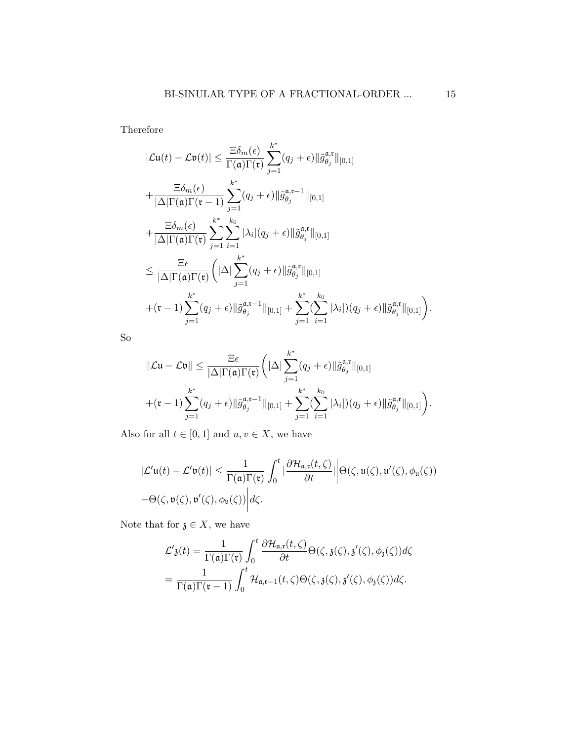Therefore

<span id="page-14-0"></span>
$$
|\mathcal{L}\mathbf{u}(t) - \mathcal{L}\mathbf{v}(t)| \leq \frac{\Xi \delta_m(\epsilon)}{\Gamma(\mathfrak{a})\Gamma(\mathfrak{r})} \sum_{j=1}^{k^*} (q_j + \epsilon) ||\tilde{g}_{\theta_j}^{\mathfrak{a},\mathfrak{r}}||_{[0,1]}
$$
  
+ 
$$
\frac{\Xi \delta_m(\epsilon)}{|\Delta|\Gamma(\mathfrak{a})\Gamma(\mathfrak{r}-1)} \sum_{j=1}^{k^*} (q_j + \epsilon) ||\tilde{g}_{\theta_j}^{\mathfrak{a},\mathfrak{r}-1}||_{[0,1]}
$$
  
+ 
$$
\frac{\Xi \delta_m(\epsilon)}{|\Delta|\Gamma(\mathfrak{a})\Gamma(\mathfrak{r})} \sum_{j=1}^{k^*} \sum_{i=1}^{k_0} |\lambda_i|(q_j + \epsilon) ||\tilde{g}_{\theta_j}^{\mathfrak{a},\mathfrak{r}}||_{[0,1]}
$$
  

$$
\leq \frac{\Xi \epsilon}{|\Delta|\Gamma(\mathfrak{a})\Gamma(\mathfrak{r})} \left(|\Delta| \sum_{j=1}^{k^*} (q_j + \epsilon) ||\tilde{g}_{\theta_j}^{\mathfrak{a},\mathfrak{r}}||_{[0,1]}
$$
  
+ 
$$
(\mathfrak{r}-1) \sum_{j=1}^{k^*} (q_j + \epsilon) ||\tilde{g}_{\theta_j}^{\mathfrak{a},\mathfrak{r}-1}||_{[0,1]} + \sum_{j=1}^{k^*} (\sum_{i=1}^{k_0} |\lambda_i|)(q_j + \epsilon) ||\tilde{g}_{\theta_j}^{\mathfrak{a},\mathfrak{r}}||_{[0,1]} \right).
$$

So

$$
\|\mathcal{L}u - \mathcal{L}v\| \leq \frac{\Xi\epsilon}{|\Delta|\Gamma(\mathfrak{a})\Gamma(\mathfrak{r})} \bigg(||\Delta|\sum_{j=1}^{k^*} (q_j + \epsilon) ||\tilde{g}_{\theta_j}^{\mathfrak{a},\mathfrak{r}}||_{[0,1]} + (\mathfrak{r} - 1) \sum_{j=1}^{k^*} (q_j + \epsilon) ||\tilde{g}_{\theta_j}^{\mathfrak{a},\mathfrak{r}-1}||_{[0,1]} + \sum_{j=1}^{k^*} (\sum_{i=1}^{k_0} |\lambda_i|)(q_j + \epsilon) ||\tilde{g}_{\theta_j}^{\mathfrak{a},\mathfrak{r}}||_{[0,1]}\bigg).
$$

Also for all  $t \in [0, 1]$  and  $u, v \in X$ , we have

$$
|\mathcal{L}'\mathfrak{u}(t) - \mathcal{L}'\mathfrak{v}(t)| \leq \frac{1}{\Gamma(\mathfrak{a})\Gamma(\mathfrak{r})} \int_0^t |\frac{\partial \mathcal{H}_{\mathfrak{a},\mathfrak{r}}(t,\zeta)}{\partial t}| \Big| \Theta(\zeta,\mathfrak{u}(\zeta),\mathfrak{u}'(\zeta),\phi_{\mathfrak{u}}(\zeta))
$$
  
- $\Theta(\zeta,\mathfrak{v}(\zeta),\mathfrak{v}'(\zeta),\phi_{\mathfrak{v}}(\zeta)) \Big| d\zeta.$ 

Note that for  $\mathfrak{z} \in X$ , we have

$$
\mathcal{L}'\mathfrak{z}(t) = \frac{1}{\Gamma(\mathfrak{a})\Gamma(\mathfrak{r})} \int_0^t \frac{\partial \mathcal{H}_{\mathfrak{a},\mathfrak{r}}(t,\zeta)}{\partial t} \Theta(\zeta,\mathfrak{z}(\zeta),\mathfrak{z}'(\zeta),\phi_{\mathfrak{z}}(\zeta))d\zeta
$$

$$
= \frac{1}{\Gamma(\mathfrak{a})\Gamma(\mathfrak{r}-1)} \int_0^t \mathcal{H}_{\mathfrak{a},\mathfrak{r}-1}(t,\zeta) \Theta(\zeta,\mathfrak{z}(\zeta),\mathfrak{z}'(\zeta),\phi_{\mathfrak{z}}(\zeta))d\zeta.
$$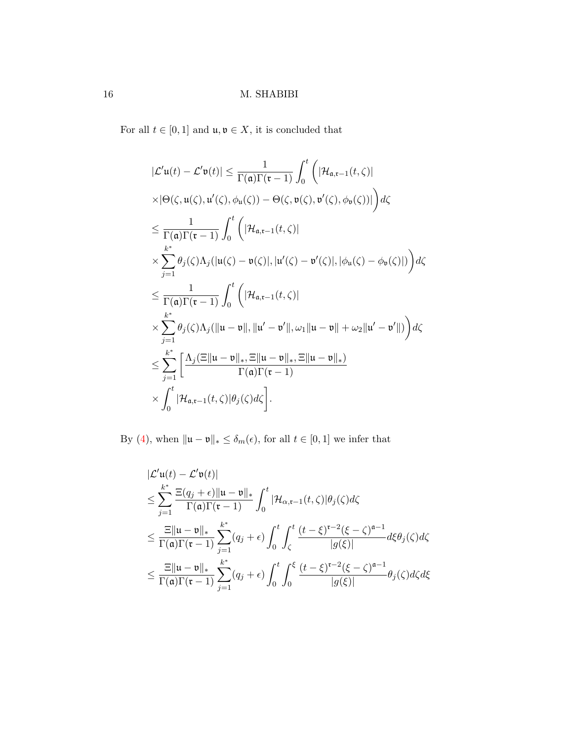For all  $t\in [0,1]$  and  $\mathfrak{u},\mathfrak{v}\in X,$  it is concluded that

$$
|\mathcal{L}'\mathbf{u}(t) - \mathcal{L}'\mathbf{v}(t)| \leq \frac{1}{\Gamma(\mathfrak{a})\Gamma(\mathfrak{r}-1)} \int_0^t \left( |\mathcal{H}_{\mathfrak{a},\mathfrak{r}-1}(t,\zeta)|
$$
  
\n
$$
\times |\Theta(\zeta, \mathbf{u}(\zeta), \mathbf{u}'(\zeta), \phi_{\mathbf{u}}(\zeta)) - \Theta(\zeta, \mathbf{v}(\zeta), \mathbf{v}'(\zeta), \phi_{\mathbf{v}}(\zeta))| \right) d\zeta
$$
  
\n
$$
\leq \frac{1}{\Gamma(\mathfrak{a})\Gamma(\mathfrak{r}-1)} \int_0^t \left( |\mathcal{H}_{\mathfrak{a},\mathfrak{r}-1}(t,\zeta)|
$$
  
\n
$$
\times \sum_{j=1}^{k^*} \theta_j(\zeta) \Lambda_j(|\mathbf{u}(\zeta) - \mathbf{v}(\zeta)|, |\mathbf{u}'(\zeta) - \mathbf{v}'(\zeta)|, |\phi_{\mathbf{u}}(\zeta) - \phi_{\mathbf{v}}(\zeta)|) \right) d\zeta
$$
  
\n
$$
\leq \frac{1}{\Gamma(\mathfrak{a})\Gamma(\mathfrak{r}-1)} \int_0^t \left( |\mathcal{H}_{\mathfrak{a},\mathfrak{r}-1}(t,\zeta)|
$$
  
\n
$$
\times \sum_{j=1}^{k^*} \theta_j(\zeta) \Lambda_j(\|\mathbf{u}-\mathbf{v}\|, \|\mathbf{u}'-\mathbf{v}'\|, \omega_1\|\mathbf{u}-\mathbf{v}\| + \omega_2\|\mathbf{u}'-\mathbf{v}'\|) \right) d\zeta
$$
  
\n
$$
\leq \sum_{j=1}^{k^*} \left[ \frac{\Lambda_j(\Xi\|\mathbf{u}-\mathbf{v}\|_*, \Xi\|\mathbf{u}-\mathbf{v}\|_*, \Xi\|\mathbf{u}-\mathbf{v}\|_*)}{\Gamma(\mathfrak{a})\Gamma(\mathfrak{r}-1)}
$$
  
\n
$$
\times \int_0^t |\mathcal{H}_{\mathfrak{a},\mathfrak{r}-1}(t,\zeta)|\theta_j(\zeta) d\zeta \right].
$$

By [\(4\)](#page-5-0), when  $\| \mathfrak{u} - \mathfrak{v} \|_* \leq \delta_m(\epsilon)$ , for all  $t \in [0,1]$  we infer that

$$
\begin{split}\n&|\mathcal{L}'\mathfrak{u}(t) - \mathcal{L}'\mathfrak{v}(t)| \\
&\leq \sum_{j=1}^{k^*} \frac{\Xi(q_j + \epsilon) \|\mathfrak{u} - \mathfrak{v}\|_{*}}{\Gamma(\mathfrak{a})\Gamma(\mathfrak{r} - 1)} \int_{0}^{t} |\mathcal{H}_{\alpha, \mathfrak{r} - 1}(t, \zeta)| \theta_j(\zeta) d\zeta \\
&\leq \frac{\Xi \|\mathfrak{u} - \mathfrak{v}\|_{*}}{\Gamma(\mathfrak{a})\Gamma(\mathfrak{r} - 1)} \sum_{j=1}^{k^*} (q_j + \epsilon) \int_{0}^{t} \int_{\zeta}^{t} \frac{(t - \xi)^{\mathfrak{r} - 2} (\xi - \zeta)^{\mathfrak{a} - 1}}{|g(\xi)|} d\xi \theta_j(\zeta) d\zeta \\
&\leq \frac{\Xi \|\mathfrak{u} - \mathfrak{v}\|_{*}}{\Gamma(\mathfrak{a})\Gamma(\mathfrak{r} - 1)} \sum_{j=1}^{k^*} (q_j + \epsilon) \int_{0}^{t} \int_{0}^{\xi} \frac{(t - \xi)^{\mathfrak{r} - 2} (\xi - \zeta)^{\mathfrak{a} - 1}}{|g(\xi)|} \theta_j(\zeta) d\zeta d\xi\n\end{split}
$$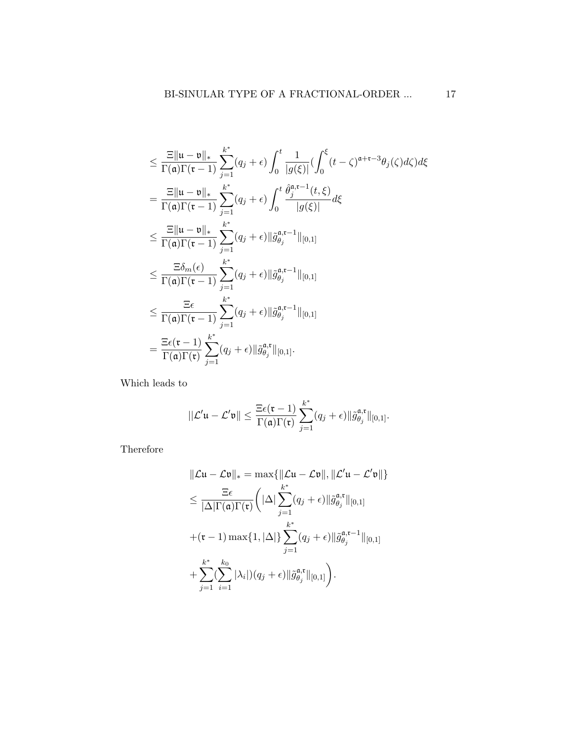$$
\leq \frac{\Xi \|\mathbf{u} - \mathbf{v}\|_{*}}{\Gamma(\mathbf{a})\Gamma(\mathbf{r} - 1)} \sum_{j=1}^{k^{*}} (q_{j} + \epsilon) \int_{0}^{t} \frac{1}{|g(\xi)|} \left(\int_{0}^{\xi} (t - \zeta)^{\mathbf{a} + \mathbf{r} - 3} \theta_{j}(\zeta) d\zeta\right) d\xi
$$
\n
$$
= \frac{\Xi \|\mathbf{u} - \mathbf{v}\|_{*}}{\Gamma(\mathbf{a})\Gamma(\mathbf{r} - 1)} \sum_{j=1}^{k^{*}} (q_{j} + \epsilon) \int_{0}^{t} \frac{\hat{\theta}_{j}^{\mathbf{a}, \mathbf{r} - 1}(t, \xi)}{|g(\xi)|} d\xi
$$
\n
$$
\leq \frac{\Xi \|\mathbf{u} - \mathbf{v}\|_{*}}{\Gamma(\mathbf{a})\Gamma(\mathbf{r} - 1)} \sum_{j=1}^{k^{*}} (q_{j} + \epsilon) \|\tilde{g}_{\theta_{j}}^{\mathbf{a}, \mathbf{r} - 1}\|_{[0,1]}
$$
\n
$$
\leq \frac{\Xi \delta_{m}(\epsilon)}{\Gamma(\mathbf{a})\Gamma(\mathbf{r} - 1)} \sum_{j=1}^{k^{*}} (q_{j} + \epsilon) \|\tilde{g}_{\theta_{j}}^{\mathbf{a}, \mathbf{r} - 1}\|_{[0,1]}
$$
\n
$$
\leq \frac{\Xi \epsilon}{\Gamma(\mathbf{a})\Gamma(\mathbf{r} - 1)} \sum_{j=1}^{k^{*}} (q_{j} + \epsilon) \|\tilde{g}_{\theta_{j}}^{\mathbf{a}, \mathbf{r} - 1}\|_{[0,1]}
$$
\n
$$
= \frac{\Xi \epsilon(\mathbf{r} - 1)}{\Gamma(\mathbf{a})\Gamma(\mathbf{r})} \sum_{j=1}^{k^{*}} (q_{j} + \epsilon) \|\tilde{g}_{\theta_{j}}^{\mathbf{a}, \mathbf{r}}\|_{[0,1]}.
$$

Which leads to

$$
\|\mathcal{L}'\mathfrak{u}-\mathcal{L}'\mathfrak{v}\| \leq \frac{\Xi\epsilon(\mathfrak{r}-1)}{\Gamma(\mathfrak{a})\Gamma(\mathfrak{r})}\sum_{j=1}^{k^*}(q_j+\epsilon)\|\tilde{g}_{\theta_j}^{\mathfrak{a},\mathfrak{r}}\|_{[0,1]}.
$$

Therefore

$$
\|\mathcal{L}\mathbf{u} - \mathcal{L}\mathbf{v}\|_{*} = \max\{\|\mathcal{L}\mathbf{u} - \mathcal{L}\mathbf{v}\|, \|\mathcal{L}'\mathbf{u} - \mathcal{L}'\mathbf{v}\|\}
$$
  
\n
$$
\leq \frac{\Xi\epsilon}{|\Delta|\Gamma(\mathfrak{a})\Gamma(\mathfrak{r})}\left(|\Delta|\sum_{j=1}^{k^{*}}(q_{j} + \epsilon)\|\tilde{g}_{\theta_{j}}^{\mathfrak{a},\mathfrak{r}}\|_{[0,1]}
$$
  
\n
$$
+(\mathfrak{r}-1)\max\{1,|\Delta|\}\sum_{j=1}^{k^{*}}(q_{j} + \epsilon)\|\tilde{g}_{\theta_{j}}^{\mathfrak{a},\mathfrak{r}-1}\|_{[0,1]}
$$
  
\n
$$
+\sum_{j=1}^{k^{*}}(\sum_{i=1}^{k_{0}}|\lambda_{i}|)(q_{j} + \epsilon)\|\tilde{g}_{\theta_{j}}^{\mathfrak{a},\mathfrak{r}}\|_{[0,1]}\right).
$$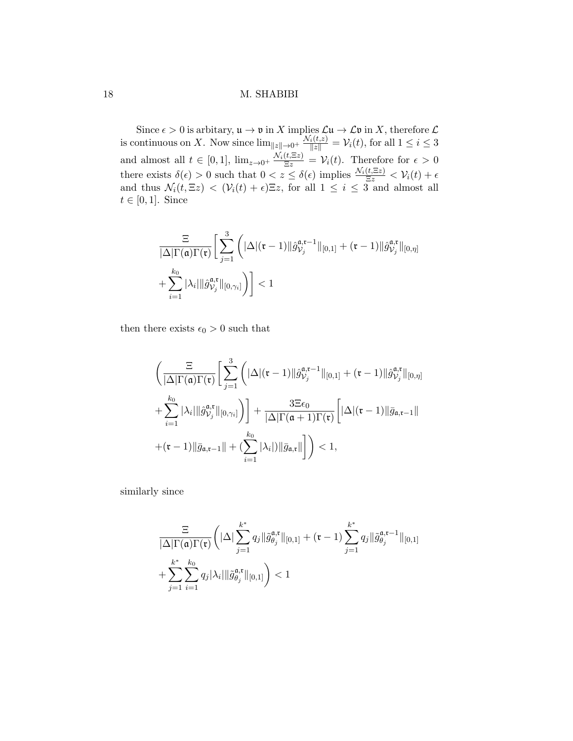Since  $\epsilon > 0$  is arbitary,  $\mathfrak{u} \to \mathfrak{v}$  in X implies  $\mathcal{L}\mathfrak{u} \to \mathcal{L}\mathfrak{v}$  in X, therefore  $\mathcal{L}$ is continuous on X. Now since  $\lim_{\|z\|\to 0^+} \frac{\mathcal{N}_i(t,z)}{\|z\|} = \mathcal{V}_i(t)$ , for all  $1 \leq i \leq 3$ and almost all  $t \in [0,1]$ ,  $\lim_{z\to 0^+} \frac{\mathcal{N}_i(t,\Xi z)}{\Xi z} = \mathcal{V}_i(t)$ . Therefore for  $\epsilon > 0$ there exists  $\delta(\epsilon) > 0$  such that  $0 < z \leq \delta(\epsilon)$  implies  $\frac{\mathcal{N}_i(t,\Xi z)}{\Xi z} < \mathcal{V}_i(t) + \epsilon$ and thus  $\mathcal{N}_i(t, \Xi z) < (\mathcal{V}_i(t) + \epsilon) \Xi z$ , for all  $1 \leq i \leq 3$  and almost all  $t \in [0, 1]$ . Since

$$
\frac{\Xi}{|\Delta|\Gamma(\mathfrak{a})\Gamma(\mathfrak{r})}\bigg[\sum_{j=1}^3\bigg(|\Delta|(\mathfrak{r}-1)\|\hat{g}_{\mathcal{V}_j}^{\mathfrak{a},\mathfrak{r}-1}\|_{[0,1]}+(\mathfrak{r}-1)\|\hat{g}_{\mathcal{V}_j}^{\mathfrak{a},\mathfrak{r}}\|_{[0,\eta]}
$$

$$
+\sum_{i=1}^{k_0}|\lambda_i|\|\hat{g}_{\mathcal{V}_j}^{\mathfrak{a},\mathfrak{r}}\|_{[0,\gamma_i]}\bigg)\bigg]<1
$$

then there exists  $\epsilon_0 > 0$  such that

$$
\begin{aligned}&\bigg(\frac{\Xi}{|\Delta|\Gamma(\mathfrak{a})\Gamma(\mathfrak{r})}\bigg[\sum_{j=1}^3\bigg(|\Delta|(\mathfrak{r}-1)\|\hat{g}_{\mathcal{V}_j}^{\mathfrak{a},\mathfrak{r}-1}\|_{[0,1]}+(\mathfrak{r}-1)\|\hat{g}_{\mathcal{V}_j}^{\mathfrak{a},\mathfrak{r}}\|_{[0,\eta]}\\&+\sum_{i=1}^{k_0}|\lambda_i|\|\hat{g}_{\mathcal{V}_j}^{\mathfrak{a},\mathfrak{r}}\|_{[0,\gamma_i]}\bigg)\bigg]+\frac{3\Xi\epsilon_0}{|\Delta|\Gamma(\mathfrak{a}+1)\Gamma(\mathfrak{r})}\bigg[|\Delta|(\mathfrak{r}-1)\|\bar{g}_{\mathfrak{a},\mathfrak{r}-1}\|\\&+(\mathfrak{r}-1)\|\bar{g}_{\mathfrak{a},\mathfrak{r}-1}\|+(\sum_{i=1}^{k_0}|\lambda_i|)\|\bar{g}_{\mathfrak{a},\mathfrak{r}}\|\bigg]\bigg)<1,\end{aligned}
$$

similarly since

$$
\frac{\Xi}{|\Delta|\Gamma(\mathfrak{a})\Gamma(\mathfrak{r})}\bigg(|\Delta|\sum_{j=1}^{k^*}q_j\|\tilde{g}_{\theta_j}^{\mathfrak{a},\mathfrak{r}}\|_{[0,1]}+(\mathfrak{r}-1)\sum_{j=1}^{k^*}q_j\|\tilde{g}_{\theta_j}^{\mathfrak{a},\mathfrak{r}-1}\|_{[0,1]}\\+\sum_{j=1}^{k^*}\sum_{i=1}^{k_0}q_j|\lambda_i|\|\tilde{g}_{\theta_j}^{\mathfrak{a},\mathfrak{r}}\|_{[0,1]}\bigg)<1
$$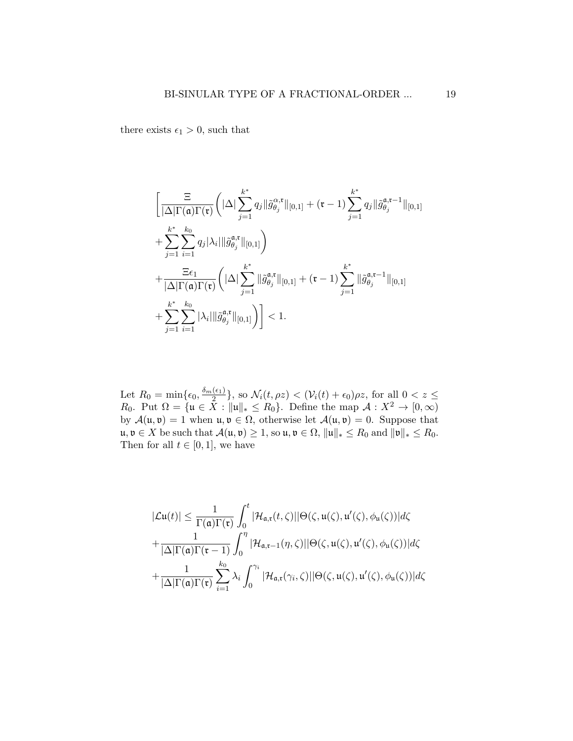there exists  $\epsilon_1 > 0$ , such that

$$
\left[\frac{\Xi}{|\Delta|\Gamma(\mathfrak{a})\Gamma(\mathfrak{r})}\left(|\Delta|\sum_{j=1}^{k^*}q_j\|\tilde{g}_{\theta_j}^{\alpha,\mathfrak{r}}\|_{[0,1]} + (\mathfrak{r}-1)\sum_{j=1}^{k^*}q_j\|\tilde{g}_{\theta_j}^{\mathfrak{a},\mathfrak{r}-1}\|_{[0,1]} + \sum_{j=1}^{k^*}\sum_{i=1}^{k_0}q_j|\lambda_i|\|\tilde{g}_{\theta_j}^{\mathfrak{a},\mathfrak{r}}\|_{[0,1]}\right) +\frac{\Xi\epsilon_1}{|\Delta|\Gamma(\mathfrak{a})\Gamma(\mathfrak{r})}\left(|\Delta|\sum_{j=1}^{k^*}\|\tilde{g}_{\theta_j}^{\mathfrak{a},\mathfrak{r}}\|_{[0,1]} + (\mathfrak{r}-1)\sum_{j=1}^{k^*}\|\tilde{g}_{\theta_j}^{\mathfrak{a},\mathfrak{r}-1}\|_{[0,1]} + \sum_{j=1}^{k^*}\sum_{i=1}^{k_0}|\lambda_i|\|\tilde{g}_{\theta_j}^{\mathfrak{a},\mathfrak{r}}\|_{[0,1]}\right) < 1.
$$

Let  $R_0 = \min\{\epsilon_0, \frac{\delta_m(\epsilon_1)}{2}\}$  $\{\frac{\epsilon_{1j}}{2}\},$  so  $\mathcal{N}_{i}(t,\rho z) < (\mathcal{V}_{i}(t) + \epsilon_{0})\rho z$ , for all  $0 < z \leq$ R<sub>0</sub>. Put  $\Omega = {\mathfrak{u} \in \bar{X} : ||\mathfrak{u}||_* \leq R_0}.$  Define the map  $\mathcal{A} : X^2 \to [0, \infty)$ by  $\mathcal{A}(\mathfrak{u},\mathfrak{v})=1$  when  $\mathfrak{u},\mathfrak{v}\in\Omega$ , otherwise let  $\mathcal{A}(\mathfrak{u},\mathfrak{v})=0$ . Suppose that  $u, v \in X$  be such that  $\mathcal{A}(u, v) \geq 1$ , so  $u, v \in \Omega$ ,  $||u||_* \leq R_0$  and  $||v||_* \leq R_0$ . Then for all  $t \in [0,1]$ , we have

$$
|\mathcal{L}\mathbf{u}(t)| \leq \frac{1}{\Gamma(\mathfrak{a})\Gamma(\mathfrak{r})} \int_0^t |\mathcal{H}_{\mathfrak{a},\mathfrak{r}}(t,\zeta)||\Theta(\zeta,\mathfrak{u}(\zeta),\mathfrak{u}'(\zeta),\phi_{\mathfrak{u}}(\zeta))|d\zeta
$$
  
+ 
$$
\frac{1}{|\Delta|\Gamma(\mathfrak{a})\Gamma(\mathfrak{r}-1)} \int_0^\eta |\mathcal{H}_{\mathfrak{a},\mathfrak{r}-1}(\eta,\zeta)||\Theta(\zeta,\mathfrak{u}(\zeta),\mathfrak{u}'(\zeta),\phi_{\mathfrak{u}}(\zeta))|d\zeta
$$
  
+ 
$$
\frac{1}{|\Delta|\Gamma(\mathfrak{a})\Gamma(\mathfrak{r})} \sum_{i=1}^{k_0} \lambda_i \int_0^{\gamma_i} |\mathcal{H}_{\mathfrak{a},\mathfrak{r}}(\gamma_i,\zeta)||\Theta(\zeta,\mathfrak{u}(\zeta),\mathfrak{u}'(\zeta),\phi_{\mathfrak{u}}(\zeta))|d\zeta
$$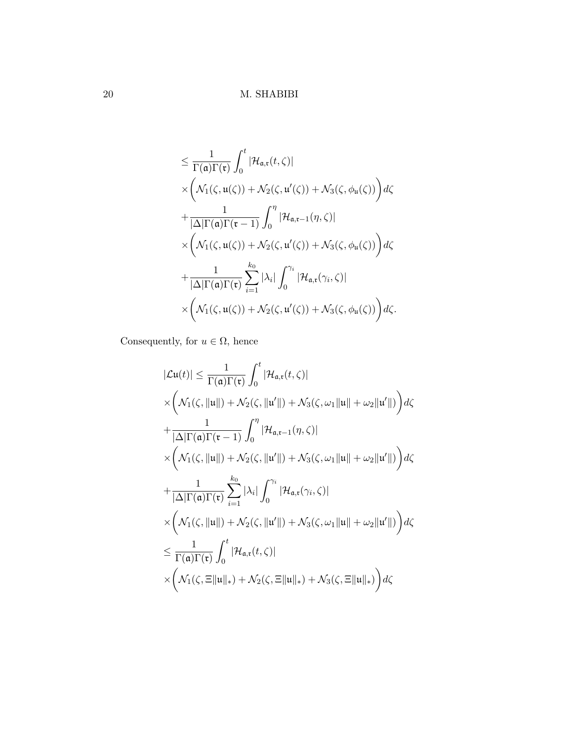$$
\leq \frac{1}{\Gamma(\mathfrak{a})\Gamma(\mathfrak{r})} \int_0^t |\mathcal{H}_{\mathfrak{a},\mathfrak{r}}(t,\zeta)|
$$
  
\n
$$
\times \left( \mathcal{N}_1(\zeta,\mathfrak{u}(\zeta)) + \mathcal{N}_2(\zeta,\mathfrak{u}'(\zeta)) + \mathcal{N}_3(\zeta,\phi_{\mathfrak{u}}(\zeta)) \right) d\zeta
$$
  
\n
$$
+ \frac{1}{|\Delta|\Gamma(\mathfrak{a})\Gamma(\mathfrak{r}-1)} \int_0^\eta |\mathcal{H}_{\mathfrak{a},\mathfrak{r}-1}(\eta,\zeta)|
$$
  
\n
$$
\times \left( \mathcal{N}_1(\zeta,\mathfrak{u}(\zeta)) + \mathcal{N}_2(\zeta,\mathfrak{u}'(\zeta)) + \mathcal{N}_3(\zeta,\phi_{\mathfrak{u}}(\zeta)) \right) d\zeta
$$
  
\n
$$
+ \frac{1}{|\Delta|\Gamma(\mathfrak{a})\Gamma(\mathfrak{r})} \sum_{i=1}^{k_0} |\lambda_i| \int_0^{\gamma_i} |\mathcal{H}_{\mathfrak{a},\mathfrak{r}}(\gamma_i,\zeta)|
$$
  
\n
$$
\times \left( \mathcal{N}_1(\zeta,\mathfrak{u}(\zeta)) + \mathcal{N}_2(\zeta,\mathfrak{u}'(\zeta)) + \mathcal{N}_3(\zeta,\phi_{\mathfrak{u}}(\zeta)) \right) d\zeta.
$$

Consequently, for  $u \in \Omega$ , hence

$$
|\mathcal{L}\mathbf{u}(t)| \leq \frac{1}{\Gamma(\mathfrak{a})\Gamma(\mathfrak{r})} \int_0^t |\mathcal{H}_{\mathfrak{a},\mathfrak{r}}(t,\zeta)|
$$
  
\n
$$
\times \left( \mathcal{N}_1(\zeta, \|\mathbf{u}\|) + \mathcal{N}_2(\zeta, \|\mathbf{u}'\|) + \mathcal{N}_3(\zeta, \omega_1 \|\mathbf{u}\| + \omega_2 \|\mathbf{u}'\|) \right) d\zeta
$$
  
\n
$$
+ \frac{1}{|\Delta|\Gamma(\mathfrak{a})\Gamma(\mathfrak{r}-1)} \int_0^{\eta} |\mathcal{H}_{\mathfrak{a},\mathfrak{r}-1}(\eta,\zeta)|
$$
  
\n
$$
\times \left( \mathcal{N}_1(\zeta, \|\mathbf{u}\|) + \mathcal{N}_2(\zeta, \|\mathbf{u}'\|) + \mathcal{N}_3(\zeta, \omega_1 \|\mathbf{u}\| + \omega_2 \|\mathbf{u}'\|) \right) d\zeta
$$
  
\n
$$
+ \frac{1}{|\Delta|\Gamma(\mathfrak{a})\Gamma(\mathfrak{r})} \sum_{i=1}^{k_0} |\lambda_i| \int_0^{\gamma_i} |\mathcal{H}_{\mathfrak{a},\mathfrak{r}}(\gamma_i,\zeta)|
$$
  
\n
$$
\times \left( \mathcal{N}_1(\zeta, \|\mathbf{u}\|) + \mathcal{N}_2(\zeta, \|\mathbf{u}'\|) + \mathcal{N}_3(\zeta, \omega_1 \|\mathbf{u}\| + \omega_2 \|\mathbf{u}'\|) \right) d\zeta
$$
  
\n
$$
\leq \frac{1}{\Gamma(\mathfrak{a})\Gamma(\mathfrak{r})} \int_0^t |\mathcal{H}_{\mathfrak{a},\mathfrak{r}}(t,\zeta)|
$$
  
\n
$$
\times \left( \mathcal{N}_1(\zeta, \|\mathbf{u}\|_*) + \mathcal{N}_2(\zeta, \|\mathbf{u}\|_*) + \mathcal{N}_3(\zeta, \|\mathbf{u}\|_*) \right) d\zeta
$$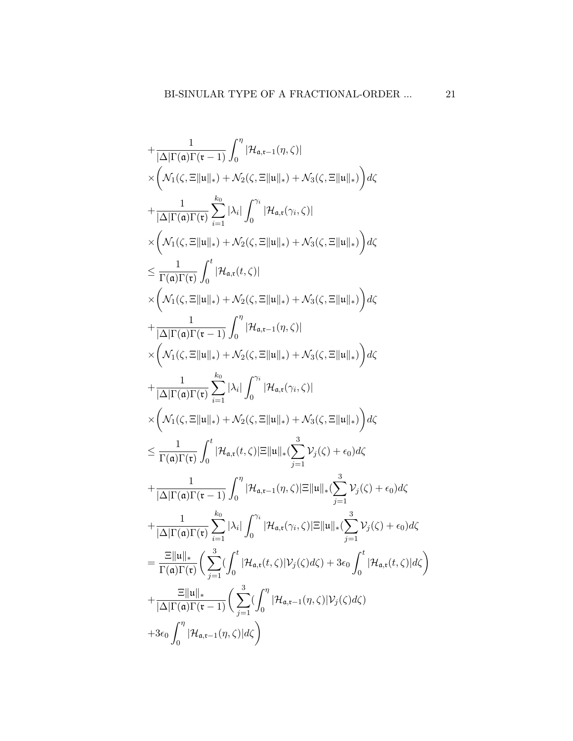$$
+\frac{1}{|\Delta|\Gamma(\mathfrak{a})\Gamma(\mathfrak{r}-1)}\int_{0}^{\eta}|\mathcal{H}_{\mathfrak{a},\mathfrak{r}-1}(\eta,\zeta)|
$$
  
\n
$$
\times \left(\mathcal{N}_{1}(\zeta,\Xi\|u\|_{*})+\mathcal{N}_{2}(\zeta,\Xi\|u\|_{*})+\mathcal{N}_{3}(\zeta,\Xi\|u\|_{*})\right)d\zeta
$$
  
\n
$$
+\frac{1}{|\Delta|\Gamma(\mathfrak{a})\Gamma(\mathfrak{r})}\sum_{i=1}^{k_{0}}|\lambda_{i}|\int_{0}^{\gamma_{i}}|\mathcal{H}_{\mathfrak{a},\mathfrak{r}}(\gamma_{i},\zeta)|
$$
  
\n
$$
\times \left(\mathcal{N}_{1}(\zeta,\Xi\|u\|_{*})+\mathcal{N}_{2}(\zeta,\Xi\|u\|_{*})+\mathcal{N}_{3}(\zeta,\Xi\|u\|_{*})\right)d\zeta
$$
  
\n
$$
\leq \frac{1}{\Gamma(\mathfrak{a})\Gamma(\mathfrak{r})}\int_{0}^{t}|\mathcal{H}_{\mathfrak{a},\mathfrak{r}}(t,\zeta)|
$$
  
\n
$$
\times \left(\mathcal{N}_{1}(\zeta,\Xi\|u\|_{*})+\mathcal{N}_{2}(\zeta,\Xi\|u\|_{*})+\mathcal{N}_{3}(\zeta,\Xi\|u\|_{*})\right)d\zeta
$$
  
\n
$$
+\frac{1}{|\Delta|\Gamma(\mathfrak{a})\Gamma(\mathfrak{r}-1)}\int_{0}^{\eta}|\mathcal{H}_{\mathfrak{a},\mathfrak{r}-1}(\eta,\zeta)|
$$
  
\n
$$
\times \left(\mathcal{N}_{1}(\zeta,\Xi\|u\|_{*})+\mathcal{N}_{2}(\zeta,\Xi\|u\|_{*})+\mathcal{N}_{3}(\zeta,\Xi\|u\|_{*})\right)d\zeta
$$
  
\n
$$
+\frac{1}{|\Delta|\Gamma(\mathfrak{a})\Gamma(\mathfrak{r})}\sum_{i=1}^{k_{0}}|\lambda_{i}|\int_{0}^{\gamma_{i}}|\mathcal{H}_{\mathfrak{a},\mathfrak{r}}(\gamma_{i},\zeta)|
$$
  
\n
$$
\times \left(\mathcal{N}_{1}(\
$$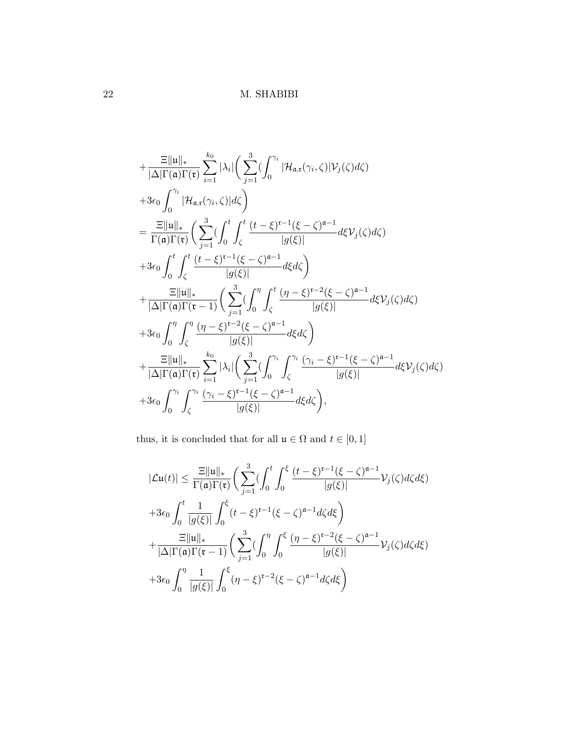$$
+\frac{\Xi\|u\|_{*}}{|\Delta|\Gamma(\mathfrak{a})\Gamma(\mathfrak{r})}\sum_{i=1}^{k_{0}}|\lambda_{i}|\left(\sum_{j=1}^{3}(\int_{0}^{\gamma_{i}}|\mathcal{H}_{\mathfrak{a},\mathfrak{r}}(\gamma_{i},\zeta)|\mathcal{V}_{j}(\zeta)d\zeta) +3\epsilon_{0}\int_{0}^{\gamma_{i}}|\mathcal{H}_{\mathfrak{a},\mathfrak{r}}(\gamma_{i},\zeta)|d\zeta\right) =\frac{\Xi\|u\|_{*}}{\Gamma(\mathfrak{a})\Gamma(\mathfrak{r})}\left(\sum_{j=1}^{3}(\int_{0}^{t}\int_{\zeta}^{t}\frac{(t-\xi)^{\mathfrak{r}-1}(\xi-\zeta)^{\mathfrak{a}-1}}{|g(\xi)|}d\xi\mathcal{V}_{j}(\zeta)d\zeta\right) +3\epsilon_{0}\int_{0}^{t}\int_{\zeta}^{t}\frac{(t-\xi)^{\mathfrak{r}-1}(\xi-\zeta)^{\mathfrak{a}-1}}{|g(\xi)|}d\xi d\zeta\right) + \frac{\Xi\|u\|_{*}}{|\Delta|\Gamma(\mathfrak{a})\Gamma(\mathfrak{r}-1)}\left(\sum_{j=1}^{3}(\int_{0}^{\eta}\int_{\zeta}^{t}\frac{(\eta-\xi)^{\mathfrak{r}-2}(\xi-\zeta)^{\mathfrak{a}-1}}{|g(\xi)|}d\xi\mathcal{V}_{j}(\zeta)d\zeta\right) +3\epsilon_{0}\int_{0}^{\eta}\int_{\zeta}^{\eta}\frac{(\eta-\xi)^{\mathfrak{r}-2}(\xi-\zeta)^{\mathfrak{a}-1}}{|g(\xi)|}d\xi d\zeta\right) + \frac{\Xi\|u\|_{*}}{|\Delta|\Gamma(\mathfrak{a})\Gamma(\mathfrak{r})}\sum_{i=1}^{k_{0}}|\lambda_{i}|\left(\sum_{j=1}^{3}(\int_{0}^{\gamma_{i}}\int_{\zeta}^{\gamma_{i}}\frac{(\gamma_{i}-\xi)^{\mathfrak{r}-1}(\xi-\zeta)^{\mathfrak{a}-1}}{|g(\xi)|}d\xi\mathcal{V}_{j}(\zeta)d\zeta\right) +3\epsilon_{0}\int_{0}^{\gamma_{i}}\int_{\zeta}^{\gamma_{i}}\frac{(\gamma_{i}-\xi)^{\math
$$

thus, it is concluded that for all  $\mathfrak{u}\in\Omega$  and  $t\in[0,1]$ 

$$
|\mathcal{L}\mathbf{u}(t)| \leq \frac{\Xi \|\mathbf{u}\|_{*}}{\Gamma(\mathbf{a})\Gamma(\mathbf{t})} \bigg( \sum_{j=1}^{3} \bigg( \int_{0}^{t} \int_{0}^{\xi} \frac{(t-\xi)^{\mathbf{r}-1}(\xi-\zeta)^{\mathbf{a}-1}}{|g(\xi)|} \mathcal{V}_{j}(\zeta) d\zeta d\xi \bigg)
$$
  
+3\epsilon\_{0} \int\_{0}^{t} \frac{1}{|g(\xi)|} \int\_{0}^{\xi} (t-\xi)^{\mathbf{r}-1}(\xi-\zeta)^{\mathbf{a}-1} d\zeta d\xi \bigg)  
+ \frac{\Xi \|\mathbf{u}\|\_{\*}}{|\Delta|\Gamma(\mathbf{a})\Gamma(\mathbf{t}-1)} \bigg( \sum\_{j=1}^{3} \bigg( \int\_{0}^{\eta} \int\_{0}^{\xi} \frac{(\eta-\xi)^{\mathbf{r}-2}(\xi-\zeta)^{\mathbf{a}-1}}{|g(\xi)|} \mathcal{V}\_{j}(\zeta) d\zeta d\xi \bigg)  
+3\epsilon\_{0} \int\_{0}^{\eta} \frac{1}{|g(\xi)|} \int\_{0}^{\xi} (\eta-\xi)^{\mathbf{r}-2}(\xi-\zeta)^{\mathbf{a}-1} d\zeta d\xi \bigg)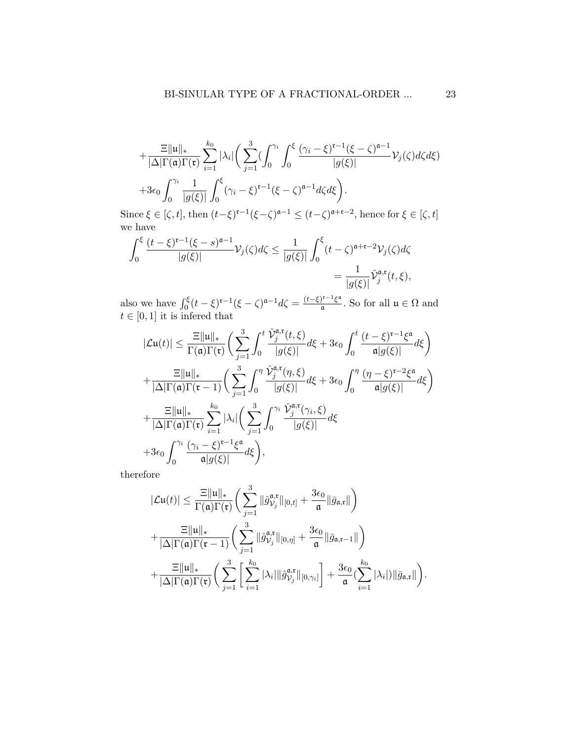$$
+\frac{\Xi\|u\|_{*}}{|\Delta|\Gamma(\mathfrak{a})\Gamma(\mathfrak{r})}\sum_{i=1}^{k_{0}}|\lambda_{i}|\bigg(\sum_{j=1}^{3}(\int_{0}^{\gamma_{i}}\int_{0}^{\xi}\frac{(\gamma_{i}-\xi)^{\mathfrak{r}-1}(\xi-\zeta)^{\mathfrak{a}-1}}{|g(\xi)|}\mathcal{V}_{j}(\zeta)d\zeta d\xi)+3\epsilon_{0}\int_{0}^{\gamma_{i}}\frac{1}{|g(\xi)|}\int_{0}^{\xi}(\gamma_{i}-\xi)^{\mathfrak{r}-1}(\xi-\zeta)^{\mathfrak{a}-1}d\zeta d\xi\bigg).
$$

Since  $\xi \in [\zeta, t]$ , then  $(t-\xi)^{r-1}(\xi-\zeta)^{a-1} \le (t-\zeta)^{a+r-2}$ , hence for  $\xi \in [\zeta, t]$ we have

$$
\int_0^{\xi} \frac{(t-\xi)^{\mathfrak{r}-1}(\xi-s)^{\mathfrak{a}-1}}{|g(\xi)|} \mathcal{V}_j(\zeta) d\zeta \le \frac{1}{|g(\xi)|} \int_0^{\xi} (t-\zeta)^{\mathfrak{a}+\mathfrak{r}-2} \mathcal{V}_j(\zeta) d\zeta
$$

$$
= \frac{1}{|g(\xi)|} \hat{\mathcal{V}}_j^{\mathfrak{a},\mathfrak{r}}(t,\xi),
$$

also we have  $\int_0^{\xi} (t-\xi)^{r-1} (\xi-\zeta)^{\mathfrak{a}-1} d\zeta = \frac{(t-\xi)^{r-1} \xi^{\mathfrak{a}}}{\mathfrak{a}}$  $\frac{\mu}{\alpha}$ . So for all  $\mu \in \Omega$  and  $t \in [0, 1]$  it is inferred that

$$
|\mathcal{L}\mathbf{u}(t)| \leq \frac{\Xi \|\mathbf{u}\|_{*}}{\Gamma(\mathbf{a})\Gamma(\mathbf{r})} \bigg( \sum_{j=1}^{3} \int_{0}^{t} \frac{\hat{\mathcal{V}}_{j}^{\mathbf{a},\mathbf{r}}(t,\xi)}{|g(\xi)|} d\xi + 3\epsilon_{0} \int_{0}^{t} \frac{(t-\xi)^{\mathbf{r}-1}\xi^{\mathbf{a}}}{\mathbf{a}|g(\xi)|} d\xi \bigg) + \frac{\Xi \|\mathbf{u}\|_{*}}{|\Delta|\Gamma(\mathbf{a})\Gamma(\mathbf{r}-1)} \bigg( \sum_{j=1}^{3} \int_{0}^{\eta} \frac{\hat{\mathcal{V}}_{j}^{\mathbf{a},\mathbf{r}}(\eta,\xi)}{|g(\xi)|} d\xi + 3\epsilon_{0} \int_{0}^{\eta} \frac{(\eta-\xi)^{\mathbf{r}-2}\xi^{\mathbf{a}}}{\mathbf{a}|g(\xi)|} d\xi \bigg) + \frac{\Xi \|\mathbf{u}\|_{*}}{|\Delta|\Gamma(\mathbf{a})\Gamma(\mathbf{r})} \sum_{i=1}^{k_{0}} |\lambda_{i}| \bigg( \sum_{j=1}^{3} \int_{0}^{\gamma_{i}} \frac{\hat{\mathcal{V}}_{j}^{\mathbf{a},\mathbf{r}}(\gamma_{i},\xi)}{|g(\xi)|} d\xi + 3\epsilon_{0} \int_{0}^{\gamma_{i}} \frac{(\gamma_{i}-\xi)^{\mathbf{r}-1}\xi^{\mathbf{a}}}{\mathbf{a}|g(\xi)|} d\xi \bigg),
$$

therefore

$$
|\mathcal{L}\mathbf{u}(t)| \leq \frac{\Xi \|\mathbf{u}\|_{*}}{\Gamma(\mathbf{a})\Gamma(\mathbf{t})} \bigg(\sum_{j=1}^{3} \|\hat{g}_{\mathcal{V}_{j}}^{\mathbf{a},\mathbf{t}}\|_{[0,t]} + \frac{3\epsilon_{0}}{\mathbf{a}}\|\bar{g}_{\mathbf{a},\mathbf{t}}\|\bigg) + \frac{\Xi \|\mathbf{u}\|_{*}}{|\Delta|\Gamma(\mathbf{a})\Gamma(\mathbf{t}-1)} \bigg(\sum_{j=1}^{3} \|\hat{g}_{\mathcal{V}_{j}}^{\mathbf{a},\mathbf{t}}\|_{[0,\eta]} + \frac{3\epsilon_{0}}{\mathbf{a}}\|\bar{g}_{\mathbf{a},\mathbf{t}-1}\|\bigg) + \frac{\Xi \|\mathbf{u}\|_{*}}{|\Delta|\Gamma(\mathbf{a})\Gamma(\mathbf{t})} \bigg(\sum_{j=1}^{3} \Big[\sum_{i=1}^{k_{0}} |\lambda_{i}| \|\hat{g}_{\mathcal{V}_{j}}^{\mathbf{a},\mathbf{t}}\|_{[0,\gamma_{i}]} \bigg] + \frac{3\epsilon_{0}}{\mathbf{a}} (\sum_{i=1}^{k_{0}} |\lambda_{i}|) \|\bar{g}_{\mathbf{a},\mathbf{t}}\|\bigg).
$$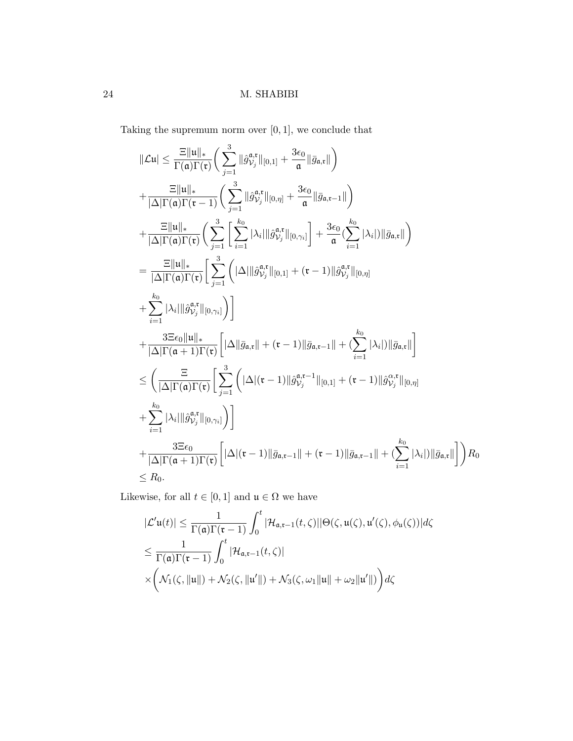Taking the supremum norm over  $[0,1],$  we conclude that

$$
\|\mathcal{L}u\| \leq \frac{\Xi\|u\|_{*}}{\Gamma(\mathfrak{a})\Gamma(\mathfrak{r})} \Big( \sum_{j=1}^{3} \|\hat{g}_{\mathcal{V}_{j}}^{\mathfrak{a},\mathfrak{r}}\|_{[0,1]} + \frac{3\epsilon_{0}}{\mathfrak{a}}\|\bar{g}_{\mathfrak{a},\mathfrak{r}}\| \Big) \n+ \frac{\Xi\|u\|_{*}}{|\Delta|\Gamma(\mathfrak{a})\Gamma(\mathfrak{r}-1)} \Big( \sum_{j=1}^{3} \|\hat{g}_{\mathcal{V}_{j}}^{\mathfrak{a},\mathfrak{r}}\|_{[0,\eta]} + \frac{3\epsilon_{0}}{\mathfrak{a}}\|\bar{g}_{\mathfrak{a},\mathfrak{r}-1}\| \Big) \n+ \frac{\Xi\|u\|_{*}}{|\Delta|\Gamma(\mathfrak{a})\Gamma(\mathfrak{r})} \Big( \sum_{j=1}^{3} \Big[ \sum_{i=1}^{k_{0}} |\lambda_{i}| \|\hat{g}_{\mathcal{V}_{j}}^{\mathfrak{a},\mathfrak{r}}\|_{[0,\gamma_{i}]} \Big] + \frac{3\epsilon_{0}}{\mathfrak{a}} (\sum_{i=1}^{k_{0}} |\lambda_{i}|) \|\bar{g}_{\mathfrak{a},\mathfrak{r}}\| \Big) \n= \frac{\Xi\|u\|_{*}}{|\Delta|\Gamma(\mathfrak{a})\Gamma(\mathfrak{r})} \Big[ \sum_{j=1}^{3} \Big( |\Delta| ||\hat{g}_{\mathcal{V}_{j}}^{\mathfrak{a},\mathfrak{r}}\|_{[0,1]} + (\mathfrak{r}-1) ||\hat{g}_{\mathcal{V}_{j}}^{\mathfrak{a},\mathfrak{r}}\|_{[0,\eta]} \n+ \sum_{i=1}^{k_{0}} |\lambda_{i}||\hat{g}_{\mathcal{V}_{j}}^{\mathfrak{a},\mathfrak{r}}\|_{[0,\gamma_{i}]} \Big) \Big] \n+ \frac{3\Xi\epsilon_{0}||u||_{*}}{|\Delta|\Gamma(\mathfrak{a}+1)\Gamma(\mathfrak{r})} \Big[ |\Delta||\bar{g}_{\mathfrak{a},\mathfrak{r}}|| + (\mathfrak{r}-1) ||\bar{g}_{\mathfrak{a},\mathfrak{r}-1}|| +
$$

Likewise, for all  $t\in [0,1]$  and  $\mathfrak{u}\in \Omega$  we have

$$
|\mathcal{L}'\mathfrak{u}(t)| \leq \frac{1}{\Gamma(\mathfrak{a})\Gamma(\mathfrak{r}-1)} \int_0^t |\mathcal{H}_{\mathfrak{a},\mathfrak{r}-1}(t,\zeta)||\Theta(\zeta,\mathfrak{u}(\zeta),\mathfrak{u}'(\zeta),\phi_{\mathfrak{u}}(\zeta))|d\zeta
$$
  

$$
\leq \frac{1}{\Gamma(\mathfrak{a})\Gamma(\mathfrak{r}-1)} \int_0^t |\mathcal{H}_{\mathfrak{a},\mathfrak{r}-1}(t,\zeta)|
$$
  

$$
\times \left(\mathcal{N}_1(\zeta, \|\mathfrak{u}\|) + \mathcal{N}_2(\zeta, \|\mathfrak{u}'\|) + \mathcal{N}_3(\zeta, \omega_1 \|\mathfrak{u}\| + \omega_2 \|\mathfrak{u}'\|)\right) d\zeta
$$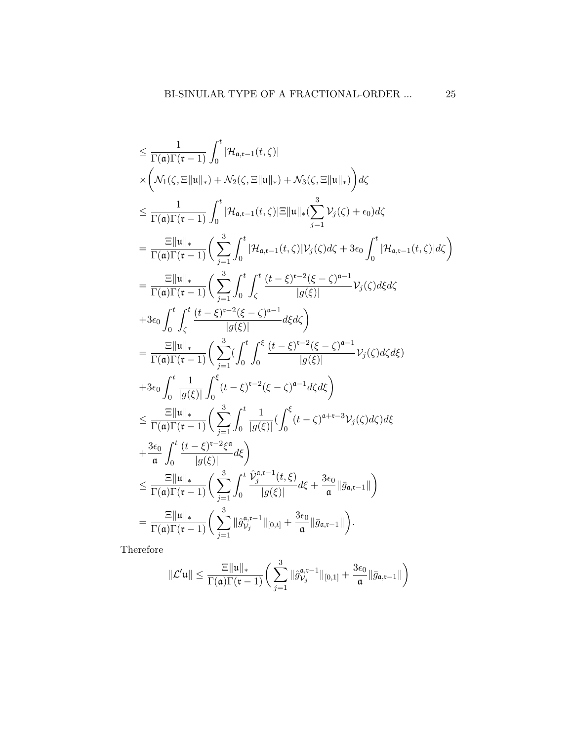$$
\leq \frac{1}{\Gamma(\mathfrak{a})\Gamma(\mathfrak{r}-1)} \int_{0}^{t} |\mathcal{H}_{\mathfrak{a},\mathfrak{r}-1}(t,\zeta)|
$$
\n
$$
\times \left( \mathcal{N}_{1}(\zeta,\Xi||\mathfrak{u}||_{*}) + \mathcal{N}_{2}(\zeta,\Xi||\mathfrak{u}||_{*}) + \mathcal{N}_{3}(\zeta,\Xi||\mathfrak{u}||_{*}) \right) d\zeta
$$
\n
$$
\leq \frac{1}{\Gamma(\mathfrak{a})\Gamma(\mathfrak{r}-1)} \int_{0}^{t} |\mathcal{H}_{\mathfrak{a},\mathfrak{r}-1}(t,\zeta)|\Xi||\mathfrak{u}||_{*}(\sum_{j=1}^{3} \mathcal{V}_{j}(\zeta) + \epsilon_{0}) d\zeta
$$
\n
$$
= \frac{\Xi||\mathfrak{u}||_{*}}{\Gamma(\mathfrak{a})\Gamma(\mathfrak{r}-1)} \left( \sum_{j=1}^{3} \int_{0}^{t} |\mathcal{H}_{\mathfrak{a},\mathfrak{r}-1}(t,\zeta)|\mathcal{V}_{j}(\zeta) d\zeta + 3\epsilon_{0} \int_{0}^{t} |\mathcal{H}_{\mathfrak{a},\mathfrak{r}-1}(t,\zeta)| d\zeta \right)
$$
\n
$$
= \frac{\Xi||\mathfrak{u}||_{*}}{\Gamma(\mathfrak{a})\Gamma(\mathfrak{r}-1)} \left( \sum_{j=1}^{3} \int_{0}^{t} \int_{\zeta}^{t} \frac{(t-\xi)^{\mathfrak{r}-2}(\xi-\zeta)^{\mathfrak{a}-1}}{|g(\xi)|} \mathcal{V}_{j}(\zeta) d\zeta d\zeta
$$
\n
$$
+3\epsilon_{0} \int_{0}^{t} \int_{\zeta}^{t} \frac{(t-\xi)^{\mathfrak{r}-2}(\xi-\zeta)^{\mathfrak{a}-1}}{|g(\xi)|} d\xi d\zeta \right)
$$
\n
$$
= \frac{\Xi||\mathfrak{u}||_{*}}{\Gamma(\mathfrak{a})\Gamma(\mathfrak{r}-1)} \left( \sum_{j=1}^{3} (\int_{0}^{t} \int_{0}^{\xi} \frac{(t-\xi)^{\mathfrak{r}-2}(\xi-\zeta)^{\mathfrak{a
$$

Therefore

$$
\|\mathcal{L}'\mathfrak{u}\| \leq \frac{\Xi \|\mathfrak{u}\|_{*}}{\Gamma(\mathfrak{a})\Gamma(\mathfrak{r}-1)} \bigg(\sum_{j=1}^3 \|\hat{g}_{\mathcal{V}_j}^{\mathfrak{a},\mathfrak{r}-1}\|_{[0,1]} + \frac{3\epsilon_0}{\mathfrak{a}}\|\bar{g}_{\mathfrak{a},\mathfrak{r}-1}\|\bigg)
$$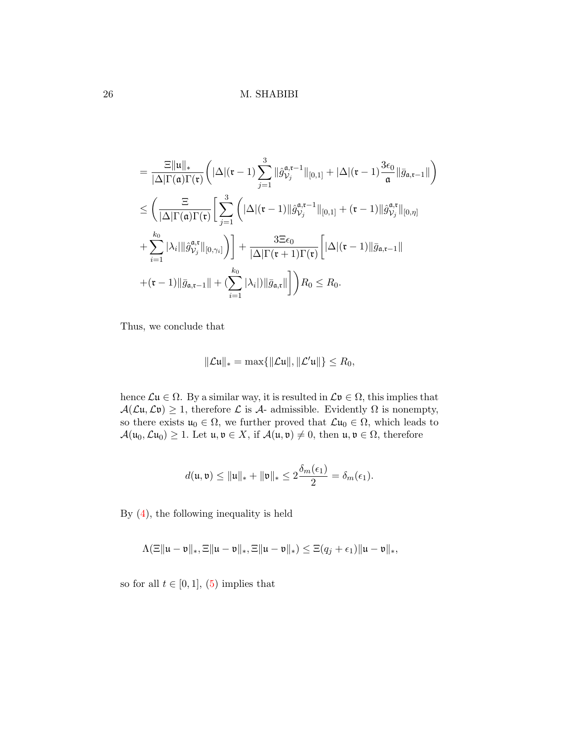$$
= \frac{\Xi \|\mathfrak{u}\|_{*}}{|\Delta|\Gamma(\mathfrak{a})\Gamma(\mathfrak{r})} \bigg(|\Delta|(\mathfrak{r}-1) \sum_{j=1}^{3} ||\hat{g}_{\mathcal{V}_{j}}^{\mathfrak{a},\mathfrak{r}-1}||_{[0,1]} + |\Delta|(\mathfrak{r}-1) \frac{3\epsilon_{0}}{\mathfrak{a}}||\bar{g}_{\mathfrak{a},\mathfrak{r}-1}|| \bigg) \leq \bigg(\frac{\Xi}{|\Delta|\Gamma(\mathfrak{a})\Gamma(\mathfrak{r})}\bigg[\sum_{j=1}^{3} \bigg(|\Delta|(\mathfrak{r}-1)||\hat{g}_{\mathcal{V}_{j}}^{\mathfrak{a},\mathfrak{r}-1}||_{[0,1]} + (\mathfrak{r}-1)||\hat{g}_{\mathcal{V}_{j}}^{\mathfrak{a},\mathfrak{r}}||_{[0,\eta]} +\sum_{i=1}^{k_{0}} |\lambda_{i}||\hat{g}_{\mathcal{V}_{j}}^{\mathfrak{a},\mathfrak{r}}||_{[0,\gamma_{i}]}\bigg)\bigg] + \frac{3\Xi\epsilon_{0}}{|\Delta|\Gamma(\mathfrak{r}+1)\Gamma(\mathfrak{r})}\bigg[|\Delta|(\mathfrak{r}-1)||\bar{g}_{\mathfrak{a},\mathfrak{r}-1}|| +(\mathfrak{r}-1)||\bar{g}_{\mathfrak{a},\mathfrak{r}-1}|| + (\sum_{i=1}^{k_{0}} |\lambda_{i}|)||\bar{g}_{\mathfrak{a},\mathfrak{r}}||\bigg]\bigg)R_{0} \leq R_{0}.
$$

Thus, we conclude that

$$
\|\mathcal{L}\mathfrak{u}\|_* = \max\{\|\mathcal{L}\mathfrak{u}\|,\|\mathcal{L}'\mathfrak{u}\|\} \leq R_0,
$$

hence  $\mathcal{L}\mathfrak{u} \in \Omega$ . By a similar way, it is resulted in  $\mathcal{L}\mathfrak{v} \in \Omega$ , this implies that  $\mathcal{A}(\mathcal{L}\mathfrak{u},\mathcal{L}\mathfrak{v})\geq 1$ , therefore  $\mathcal L$  is  $\mathcal A$ - admissible. Evidently  $\Omega$  is nonempty, so there exists  $u_0 \in \Omega$ , we further proved that  $\mathcal{L}u_0 \in \Omega$ , which leads to  $\mathcal{A}(\mathfrak{u}_0,\mathcal{L}\mathfrak{u}_0) \geq 1$ . Let  $\mathfrak{u},\mathfrak{v} \in X$ , if  $\mathcal{A}(\mathfrak{u},\mathfrak{v}) \neq 0$ , then  $\mathfrak{u},\mathfrak{v} \in \Omega$ , therefore

$$
d(\mathfrak{u},\mathfrak{v})\leq \|\mathfrak{u}\|_*+\|\mathfrak{v}\|_*\leq 2\frac{\delta_m(\epsilon_1)}{2}=\delta_m(\epsilon_1).
$$

By [\(4\)](#page-5-0), the following inequality is held

$$
\Lambda(\Xi \|\mathfrak{u}-\mathfrak{v}\|_*, \Xi \|\mathfrak{u}-\mathfrak{v}\|_*, \Xi \|\mathfrak{u}-\mathfrak{v}\|_* ) \leq \Xi(q_j + \epsilon_1) \|\mathfrak{u}-\mathfrak{v}\|_*,
$$

so for all  $t \in [0, 1]$ , [\(5\)](#page-11-0) implies that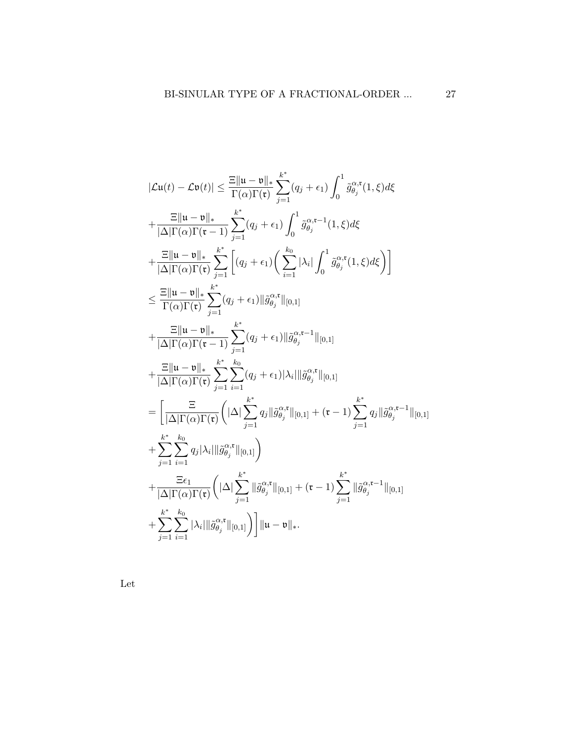$$
|\mathcal{L}u(t) - \mathcal{L}v(t)| \leq \frac{\mathbb{E}||u - v||_{*}}{\Gamma(\alpha)\Gamma(\mathfrak{r})} \sum_{j=1}^{k^{*}} (q_{j} + \epsilon_{1}) \int_{0}^{1} \tilde{g}_{\theta_{j}}^{\alpha, \mathfrak{r}}(1, \xi) d\xi
$$
  
+ 
$$
\frac{\mathbb{E}||u - v||_{*}}{|\Delta|\Gamma(\alpha)\Gamma(\mathfrak{r})} \sum_{j=1}^{k^{*}} (q_{j} + \epsilon_{1}) \int_{0}^{1} \tilde{g}_{\theta_{j}}^{\alpha, \mathfrak{r}-1}(1, \xi) d\xi
$$
  
+ 
$$
\frac{\mathbb{E}||u - v||_{*}}{|\Delta|\Gamma(\alpha)\Gamma(\mathfrak{r})} \sum_{j=1}^{k^{*}} \left[ (q_{j} + \epsilon_{1}) \left( \sum_{i=1}^{k_{0}} |\lambda_{i}| \int_{0}^{1} \tilde{g}_{\theta_{j}}^{\alpha, \mathfrak{r}}(1, \xi) d\xi \right) \right]
$$
  

$$
\leq \frac{\mathbb{E}||u - v||_{*}}{\Gamma(\alpha)\Gamma(\mathfrak{r})} \sum_{j=1}^{k^{*}} (q_{j} + \epsilon_{1}) ||\tilde{g}_{\theta_{j}}^{\alpha, \mathfrak{r}}||_{[0,1]}
$$
  
+ 
$$
\frac{\mathbb{E}||u - v||_{*}}{|\Delta|\Gamma(\alpha)\Gamma(\mathfrak{r})} \sum_{j=1}^{k^{*}} (q_{j} + \epsilon_{1}) ||\tilde{g}_{\theta_{j}}^{\alpha, \mathfrak{r}-1}||_{[0,1]}
$$
  
+ 
$$
\frac{\mathbb{E}||u - v||_{*}}{|\Delta|\Gamma(\alpha)\Gamma(\mathfrak{r})} \sum_{j=1}^{k^{*}} \sum_{i=1}^{k_{0}} (q_{j} + \epsilon_{1}) |\lambda_{i}| ||\tilde{g}_{\theta_{j}}^{\alpha, \mathfrak{r}}||_{[0,1]}
$$
  
= 
$$
\left[ \frac{\mathbb{E}||u - \mathbb{E}||_{*}}{|\Delta|\Gamma(\alpha)\Gamma(\mathfrak{r})} \left( |\Delta| \sum_{j=1}^{k^{*}} q_{j} ||\tilde{g}_{\theta_{j}}^{\alpha, \mathfrak{r}}||_{[0,1]}
$$

Let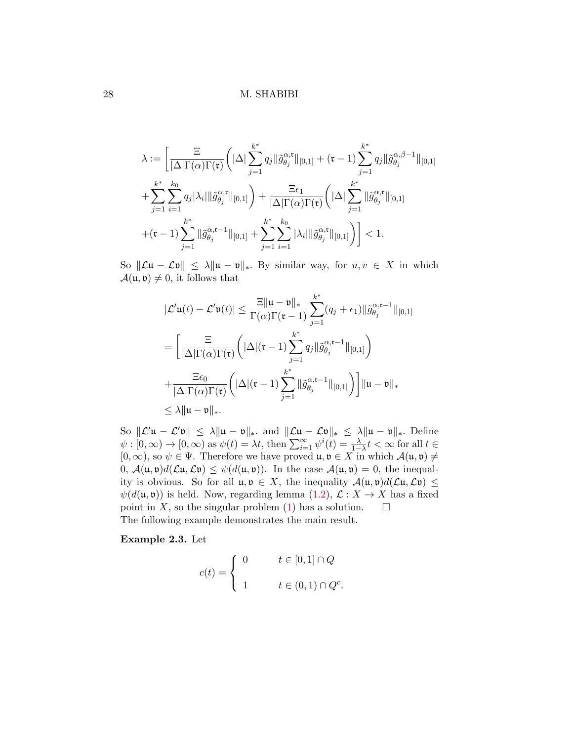$$
\lambda := \left[ \frac{\Xi}{|\Delta| \Gamma(\alpha) \Gamma(\mathbf{t})} \left( |\Delta| \sum_{j=1}^{k^*} q_j \| \tilde{g}_{\theta_j}^{\alpha, \mathbf{t}} \|_{[0,1]} + (\mathbf{t} - 1) \sum_{j=1}^{k^*} q_j \| \tilde{g}_{\theta_j}^{\alpha, \beta - 1} \|_{[0,1]} \right. \right. \\ \left. + \sum_{j=1}^{k^*} \sum_{i=1}^{k_0} q_j |\lambda_i| \| \tilde{g}_{\theta_j}^{\alpha, \mathbf{t}} \|_{[0,1]} \right) + \frac{\Xi \epsilon_1}{|\Delta| \Gamma(\alpha) \Gamma(\mathbf{t})} \left( |\Delta| \sum_{j=1}^{k^*} \| \tilde{g}_{\theta_j}^{\alpha, \mathbf{t}} \|_{[0,1]} \right. \\ \left. + (\mathbf{t} - 1) \sum_{j=1}^{k^*} \| \tilde{g}_{\theta_j}^{\alpha, \mathbf{t}-1} \|_{[0,1]} + \sum_{j=1}^{k^*} \sum_{i=1}^{k_0} |\lambda_i| \| \tilde{g}_{\theta_j}^{\alpha, \mathbf{t}} \|_{[0,1]} \right) \right] < 1.
$$

So  $\|\mathcal{L}u - \mathcal{L}v\| \leq \lambda \|u - v\|_*$ . By similar way, for  $u, v \in X$  in which  $\mathcal{A}(\mathfrak{u}, \mathfrak{v}) \neq 0$ , it follows that

$$
|\mathcal{L}'\mathfrak{u}(t) - \mathcal{L}'\mathfrak{v}(t)| \leq \frac{\Xi \|\mathfrak{u} - \mathfrak{v}\|_{*}}{\Gamma(\alpha)\Gamma(\mathfrak{r} - 1)} \sum_{j=1}^{k^{*}} (q_{j} + \epsilon_{1}) \|\tilde{g}_{\theta_{j}}^{\alpha, \mathfrak{r} - 1}\|_{[0,1]}
$$
  
\n
$$
= \left[\frac{\Xi}{|\Delta|\Gamma(\alpha)\Gamma(\mathfrak{r})}\left(|\Delta|(\mathfrak{r} - 1)\sum_{j=1}^{k^{*}} q_{j} \|\tilde{g}_{\theta_{j}}^{\alpha, \mathfrak{r} - 1}\|_{[0,1]}\right) + \frac{\Xi\epsilon_{0}}{|\Delta|\Gamma(\alpha)\Gamma(\mathfrak{r})}\left(|\Delta|(\mathfrak{r} - 1)\sum_{j=1}^{k^{*}} \|\tilde{g}_{\theta_{j}}^{\alpha, \mathfrak{r} - 1}\|_{[0,1]}\right)\right] \|\mathfrak{u} - \mathfrak{v}\|_{*}
$$
  
\n
$$
\leq \lambda \|\mathfrak{u} - \mathfrak{v}\|_{*}.
$$

So  $\|\mathcal{L}'\mathfrak{u} - \mathcal{L}'\mathfrak{v}\| \leq \lambda \|\mathfrak{u} - \mathfrak{v}\|_*$  and  $\|\mathcal{L}\mathfrak{u} - \mathcal{L}\mathfrak{v}\|_* \leq \lambda \|\mathfrak{u} - \mathfrak{v}\|_*$ . Define  $\psi : [0, \infty) \to [0, \infty)$  as  $\psi(t) = \lambda t$ , then  $\sum_{i=1}^{\infty} \psi^i(t) = \frac{\lambda}{1-\lambda} t < \infty$  for all  $t \in$  $[0, \infty)$ , so  $\psi \in \Psi$ . Therefore we have proved  $\mathfrak{u}, \mathfrak{v} \in X$  in which  $\mathcal{A}(\mathfrak{u}, \mathfrak{v}) \neq \emptyset$ 0,  $\mathcal{A}(\mathfrak{u},\mathfrak{v})d(\mathcal{L}\mathfrak{u},\mathcal{L}\mathfrak{v}) \leq \psi(d(\mathfrak{u},\mathfrak{v}))$ . In the case  $\mathcal{A}(\mathfrak{u},\mathfrak{v})=0$ , the inequality is obvious. So for all  $\mathfrak{u}, \mathfrak{v} \in X$ , the inequality  $\mathcal{A}(\mathfrak{u}, \mathfrak{v})d(\mathcal{L}\mathfrak{u}, \mathcal{L}\mathfrak{v}) \leq$  $\psi(d(\mathfrak{u},\mathfrak{v}))$  is held. Now, regarding lemma  $(1.2)$ ,  $\mathcal{L}: X \to X$  has a fixed point in X, so the singular problem [\(1\)](#page-1-0) has a solution.  $\square$ The following example demonstrates the main result.

Example 2.3. Let

$$
c(t) = \begin{cases} 0 & t \in [0,1] \cap Q \\ 1 & t \in (0,1) \cap Q^c. \end{cases}
$$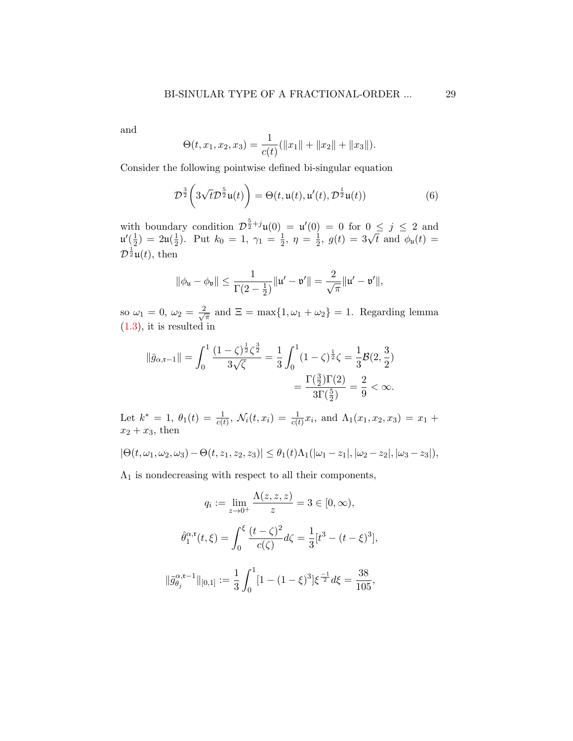and

$$
\Theta(t, x_1, x_2, x_3) = \frac{1}{c(t)}(\|x_1\| + \|x_2\| + \|x_3\|).
$$

Consider the following pointwise defined bi-singular equation

$$
\mathcal{D}^{\frac{3}{2}}\left(3\sqrt{t}\mathcal{D}^{\frac{5}{2}}\mathfrak{u}(t)\right) = \Theta(t, \mathfrak{u}(t), \mathfrak{u}'(t), \mathcal{D}^{\frac{1}{2}}\mathfrak{u}(t))
$$
(6)

with boundary condition  $\mathcal{D}^{\frac{5}{2}+j}\mathfrak{u}(0) = \mathfrak{u}'(0) = 0$  for  $0 \leq j \leq 2$  and  $\mathfrak{u}'(\frac{1}{2})$  $(\frac{1}{2}) = 2\mathfrak{u}(\frac{1}{2})$  $(\frac{1}{2})$ . Put  $k_0 = 1, \gamma_1 = \frac{1}{2}$  $\frac{1}{2}, \eta = \frac{1}{2}$  $y = 0$  for  $0 \le y \le 2$  and<br> $\frac{1}{2}$ ,  $g(t) = 3\sqrt{t}$  and  $\phi_{\mu}(t) =$  $\mathcal{D}^{\frac{1}{2}}\mathfrak{u}(t)$ , then

$$
\|\phi_{\mathfrak{u}}-\phi_{\mathfrak{v}}\|\leq \frac{1}{\Gamma(2-\frac{1}{2})}\|\mathfrak{u}'-\mathfrak{v}'\|=\frac{2}{\sqrt{\pi}}\|\mathfrak{u}'-\mathfrak{v}'\|,
$$

so  $\omega_1 = 0, \omega_2 = \frac{2}{\sqrt{2}}$  $\frac{d}{d\pi}$  and  $\Xi = \max\{1, \omega_1 + \omega_2\} = 1$ . Regarding lemma [\(1.3\)](#page-3-3), it is resulted in

<span id="page-28-0"></span>
$$
\|\bar{g}_{\alpha,\mathfrak{r}-1}\| = \int_0^1 \frac{(1-\zeta)^{\frac{1}{2}} \zeta^{\frac{3}{2}}}{3\sqrt{\zeta}} = \frac{1}{3} \int_0^1 (1-\zeta)^{\frac{1}{2}} \zeta = \frac{1}{3} \mathcal{B}(2, \frac{3}{2})
$$

$$
= \frac{\Gamma(\frac{3}{2})\Gamma(2)}{3\Gamma(\frac{5}{2})} = \frac{2}{9} < \infty.
$$

Let  $k^* = 1$ ,  $\theta_1(t) = \frac{1}{c(t)}$ ,  $\mathcal{N}_i(t, x_i) = \frac{1}{c(t)} x_i$ , and  $\Lambda_1(x_1, x_2, x_3) = x_1 +$  $x_2 + x_3$ , then

$$
|\Theta(t,\omega_1,\omega_2,\omega_3)-\Theta(t,z_1,z_2,z_3)|\leq \theta_1(t)\Lambda_1(|\omega_1-z_1|,|\omega_2-z_2|,|\omega_3-z_3|),
$$

 $\Lambda_1$  is nondecreasing with respect to all their components,

 $\overline{\phantom{a}}$ 

$$
q_i := \lim_{z \to 0^+} \frac{\Lambda(z, z, z)}{z} = 3 \in [0, \infty),
$$

$$
\hat{\theta}_1^{\alpha, \mathfrak{r}}(t, \xi) = \int_0^{\xi} \frac{(t - \zeta)^2}{c(\zeta)} d\zeta = \frac{1}{3} [t^3 - (t - \xi)^3],
$$

$$
|\tilde{g}_{\theta_j}^{\alpha, \mathfrak{r}-1}||_{[0,1]} := \frac{1}{3} \int_0^1 [1 - (1 - \xi)^3] \xi^{-\frac{1}{2}} d\xi = \frac{38}{105},
$$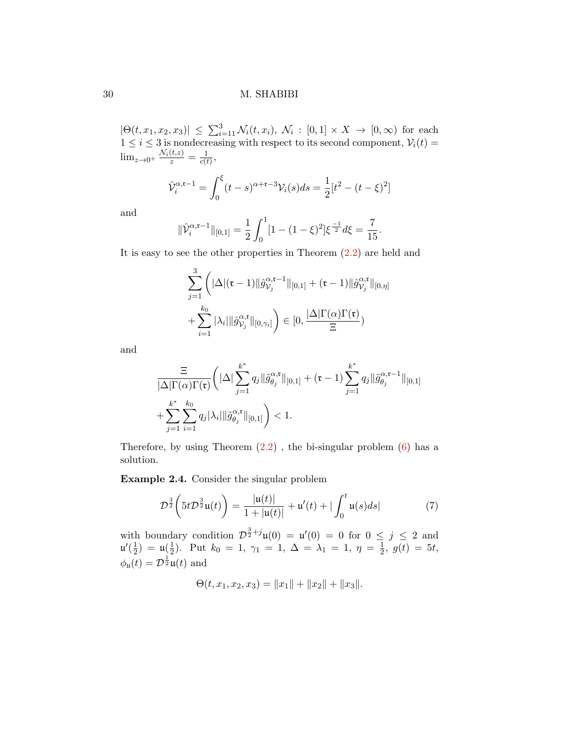$|\Theta(t, x_1, x_2, x_3)| \leq \sum_{i=1}^3 \mathcal{N}_i(t, x_i), \ \mathcal{N}_i : [0, 1] \times X \to [0, \infty)$  for each  $1 \leq i \leq 3$  is nondecreasing with respect to its second component,  $V_i(t) =$  $\lim_{z\to 0^+} \frac{\mathcal{N}_i(t,z)}{z} = \frac{1}{c(t)}$  $\frac{1}{c(t)},$ 

$$
\hat{\mathcal{V}}_i^{\alpha, \mathfrak{r}-1} = \int_0^{\xi} (t-s)^{\alpha+\mathfrak{r}-3} \mathcal{V}_i(s) ds = \frac{1}{2} [t^2 - (t-\xi)^2]
$$

and

$$
\|\hat{\mathcal{V}}_i^{\alpha,\mathfrak{r}-1}\|_{[0,1]} = \frac{1}{2} \int_0^1 [1 - (1-\xi)^2] \xi^{\frac{-1}{2}} d\xi = \frac{7}{15}.
$$

It is easy to see the other properties in Theorem [\(2.2\)](#page-7-0) are held and

$$
\sum_{j=1}^3 \left( |\Delta|(\mathfrak{r}-1) || \hat{g}_{\mathcal{V}_j}^{\alpha,\mathfrak{r}-1} ||_{[0,1]} + (\mathfrak{r}-1) || \hat{g}_{\mathcal{V}_j}^{\alpha,\mathfrak{r}} ||_{[0,\eta]} + \sum_{i=1}^{k_0} |\lambda_i| || \hat{g}_{\mathcal{V}_j}^{\alpha,\mathfrak{r}} ||_{[0,\gamma_i]} \right) \in [0, \frac{|\Delta| \Gamma(\alpha) \Gamma(\mathfrak{r})}{\Xi})
$$

and

$$
\frac{\Xi}{|\Delta|\Gamma(\alpha)\Gamma(\mathfrak{r})}\bigg(|\Delta|\sum_{j=1}^{k^*}q_j\|\tilde{g}_{\theta_j}^{\alpha,\mathfrak{r}}\|_{[0,1]} + (\mathfrak{r}-1)\sum_{j=1}^{k^*}q_j\|\tilde{g}_{\theta_j}^{\alpha,\mathfrak{r}-1}\|_{[0,1]} + \sum_{j=1}^{k^*} \sum_{i=1}^{k_0}q_j|\lambda_i|\|\tilde{g}_{\theta_j}^{\alpha,\mathfrak{r}}\|_{[0,1]}\bigg) < 1.
$$

Therefore, by using Theorem  $(2.2)$ , the bi-singular problem  $(6)$  has a solution.

Example 2.4. Consider the singular problem

$$
\mathcal{D}^{\frac{3}{2}}\left(5t\mathcal{D}^{\frac{3}{2}}\mathfrak{u}(t)\right) = \frac{|\mathfrak{u}(t)|}{1+|\mathfrak{u}(t)|} + \mathfrak{u}'(t) + |\int_0^t \mathfrak{u}(s)ds| \tag{7}
$$

with boundary condition  $\mathcal{D}^{\frac{3}{2}+j}\mathfrak{u}(0) = \mathfrak{u}'(0) = 0$  for  $0 \leq j \leq 2$  and  $\mathfrak{u}'(\frac{1}{2})$  $(\frac{1}{2}) = \mathfrak{u}(\frac{1}{2})$  $\frac{1}{2}$ ). Put  $k_0 = 1, \gamma_1 = 1, \Delta = \lambda_1 = 1, \eta = \frac{1}{2}$  $\frac{1}{2}$ ,  $g(t) = 5t$ ,  $\phi_{\mathfrak{u}}(t) = \mathcal{D}^{\frac{1}{2}}\mathfrak{u}(t)$  and

$$
\Theta(t, x_1, x_2, x_3) = ||x_1|| + ||x_2|| + ||x_3||.
$$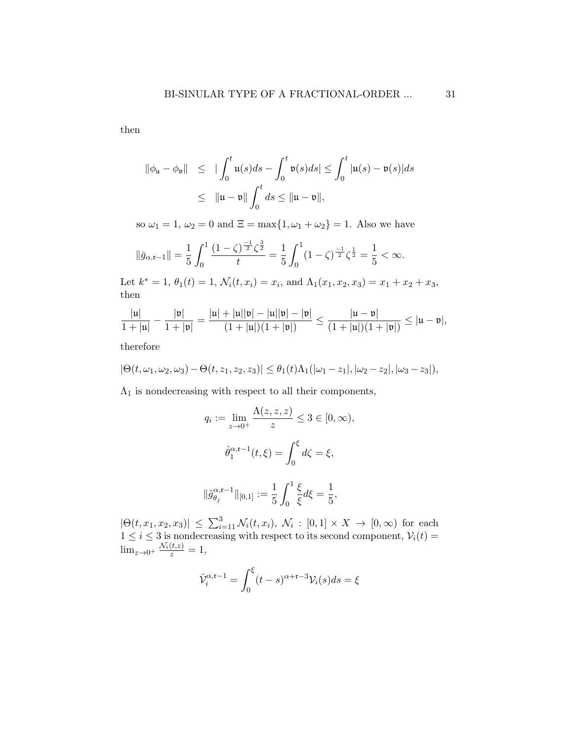then

$$
\begin{array}{rcl}\n\|\phi_{\mathfrak{u}} - \phi_{\mathfrak{v}}\| & \leq & |\int_{0}^{t} \mathfrak{u}(s) ds - \int_{0}^{t} \mathfrak{v}(s) ds| \leq \int_{0}^{t} |\mathfrak{u}(s) - \mathfrak{v}(s)| ds \\
& \leq & \|\mathfrak{u} - \mathfrak{v}\| \int_{0}^{t} ds \leq \|\mathfrak{u} - \mathfrak{v}\|,\n\end{array}
$$

so  $\omega_1 = 1, \omega_2 = 0$  and  $\Xi = \max\{1, \omega_1 + \omega_2\} = 1$ . Also we have

$$
\|\bar{g}_{\alpha,\mathfrak{r}-1}\| = \frac{1}{5} \int_0^1 \frac{(1-\zeta)^{\frac{-1}{2}} \zeta^{\frac{3}{2}}}{t} = \frac{1}{5} \int_0^1 (1-\zeta)^{\frac{-1}{2}} \zeta^{\frac{1}{2}} = \frac{1}{5} < \infty.
$$

Let  $k^* = 1$ ,  $\theta_1(t) = 1$ ,  $\mathcal{N}_i(t, x_i) = x_i$ , and  $\Lambda_1(x_1, x_2, x_3) = x_1 + x_2 + x_3$ , then

$$
\frac{|u|}{1+|u|} - \frac{|v|}{1+|v|} = \frac{|u| + |u||v| - |u||v| - |v|}{(1+|u|)(1+|v|)} \le \frac{|u-v|}{(1+|u|)(1+|v|)} \le |u-v|,
$$

therefore

$$
|\Theta(t,\omega_1,\omega_2,\omega_3)-\Theta(t,z_1,z_2,z_3)|\leq \theta_1(t)\Lambda_1(|\omega_1-z_1|,|\omega_2-z_2|,|\omega_3-z_3|),
$$

 $\Lambda_1$  is nondecreasing with respect to all their components,

$$
q_i := \lim_{z \to 0^+} \frac{\Lambda(z, z, z)}{z} \le 3 \in [0, \infty),
$$
  

$$
\hat{\theta}_1^{\alpha, \mathfrak{r}-1}(t, \xi) = \int_0^{\xi} d\zeta = \xi,
$$
  

$$
\|\tilde{g}_{\theta_j}^{\alpha, \mathfrak{r}-1}\|_{[0,1]} := \frac{1}{5} \int_0^1 \frac{\xi}{\xi} d\xi = \frac{1}{5},
$$

 $|\Theta(t, x_1, x_2, x_3)| \leq \sum_{i=1}^3 \mathcal{N}_i(t, x_i), \ \mathcal{N}_i : [0, 1] \times X \to [0, \infty)$  for each  $1 \leq i \leq 3$  is nondecreasing with respect to its second component,  $V_i(t) =$  $\lim_{z\to 0^+} \frac{\mathcal{N}_i(t,z)}{z} = 1,$ 

$$
\hat{\mathcal{V}}_i^{\alpha,\mathfrak{r}-1} = \int_0^{\xi} (t-s)^{\alpha+\mathfrak{r}-3} \mathcal{V}_i(s) ds = \xi
$$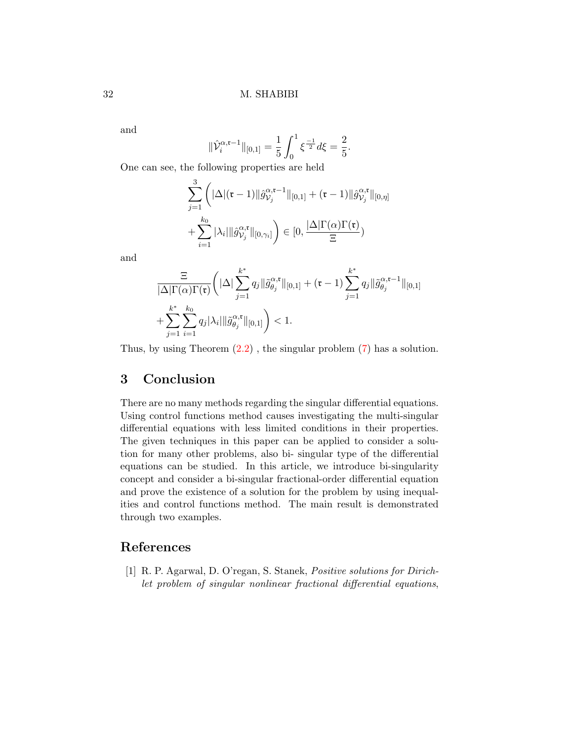and

$$
\|\hat{\mathcal{V}}_i^{\alpha,\mathfrak{r}-1}\|_{[0,1]} = \frac{1}{5} \int_0^1 \xi^{\frac{-1}{2}} d\xi = \frac{2}{5}.
$$

One can see, the following properties are held

$$
\sum_{j=1}^{3} \left( |\Delta|(\mathfrak{r} - 1)| |\hat{g}_{\mathcal{V}_j}^{\alpha, \mathfrak{r} - 1}||_{[0,1]} + (\mathfrak{r} - 1)| |\hat{g}_{\mathcal{V}_j}^{\alpha, \mathfrak{r}}||_{[0, \eta]} + \sum_{i=1}^{k_0} |\lambda_i| ||\hat{g}_{\mathcal{V}_j}^{\alpha, \mathfrak{r}}||_{[0, \gamma_i]} \right) \in [0, \frac{|\Delta| \Gamma(\alpha) \Gamma(\mathfrak{r})}{\Xi})
$$

and

$$
\frac{\Xi}{|\Delta|\Gamma(\alpha)\Gamma(\mathfrak{r})}\bigg(|\Delta|\sum_{j=1}^{k^*}q_j\|\tilde{g}_{\theta_j}^{\alpha,\mathfrak{r}}\|_{[0,1]} + (\mathfrak{r}-1)\sum_{j=1}^{k^*}q_j\|\tilde{g}_{\theta_j}^{\alpha,\mathfrak{r}-1}\|_{[0,1]} + \sum_{j=1}^{k^*} \sum_{i=1}^{k_0}q_j|\lambda_i|\|\tilde{g}_{\theta_j}^{\alpha,\mathfrak{r}}\|_{[0,1]}\bigg) < 1.
$$

Thus, by using Theorem [\(2.2\)](#page-7-0) , the singular problem [\(7\)](#page-28-0) has a solution.

# 3 Conclusion

There are no many methods regarding the singular differential equations. Using control functions method causes investigating the multi-singular differential equations with less limited conditions in their properties. The given techniques in this paper can be applied to consider a solution for many other problems, also bi- singular type of the differential equations can be studied. In this article, we introduce bi-singularity concept and consider a bi-singular fractional-order differential equation and prove the existence of a solution for the problem by using inequalities and control functions method. The main result is demonstrated through two examples.

## References

<span id="page-31-0"></span>[1] R. P. Agarwal, D. O'regan, S. Stanek, Positive solutions for Dirichlet problem of singular nonlinear fractional differential equations,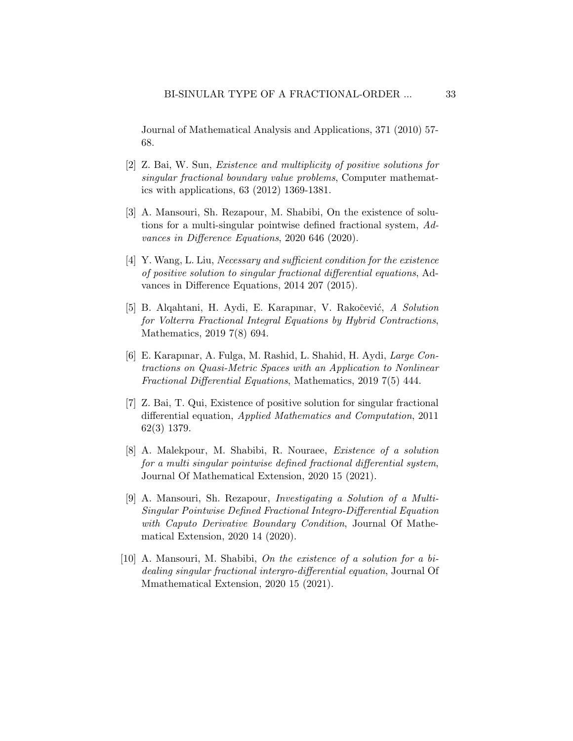Journal of Mathematical Analysis and Applications, 371 (2010) 57- 68.

- [2] Z. Bai, W. Sun, Existence and multiplicity of positive solutions for singular fractional boundary value problems, Computer mathematics with applications, 63 (2012) 1369-1381.
- [3] A. Mansouri, Sh. Rezapour, M. Shabibi, On the existence of solutions for a multi-singular pointwise defined fractional system, Advances in Difference Equations, 2020 646 (2020).
- [4] Y. Wang, L. Liu, Necessary and sufficient condition for the existence of positive solution to singular fractional differential equations, Advances in Difference Equations, 2014 207 (2015).
- [5] B. Alqahtani, H. Aydi, E. Karapınar, V. Rakočević, A Solution for Volterra Fractional Integral Equations by Hybrid Contractions, Mathematics, 2019 7(8) 694.
- <span id="page-32-0"></span>[6] E. Karapınar, A. Fulga, M. Rashid, L. Shahid, H. Aydi, Large Contractions on Quasi-Metric Spaces with an Application to Nonlinear Fractional Differential Equations, Mathematics, 2019 7(5) 444.
- <span id="page-32-1"></span>[7] Z. Bai, T. Qui, Existence of positive solution for singular fractional differential equation, Applied Mathematics and Computation, 2011 62(3) 1379.
- [8] A. Malekpour, M. Shabibi, R. Nouraee, Existence of a solution for a multi singular pointwise defined fractional differential system, Journal Of Mathematical Extension, 2020 15 (2021).
- [9] A. Mansouri, Sh. Rezapour, Investigating a Solution of a Multi-Singular Pointwise Defined Fractional Integro-Differential Equation with Caputo Derivative Boundary Condition, Journal Of Mathematical Extension, 2020 14 (2020).
- [10] A. Mansouri, M. Shabibi, On the existence of a solution for a bidealing singular fractional intergro-differential equation, Journal Of Mmathematical Extension, 2020 15 (2021).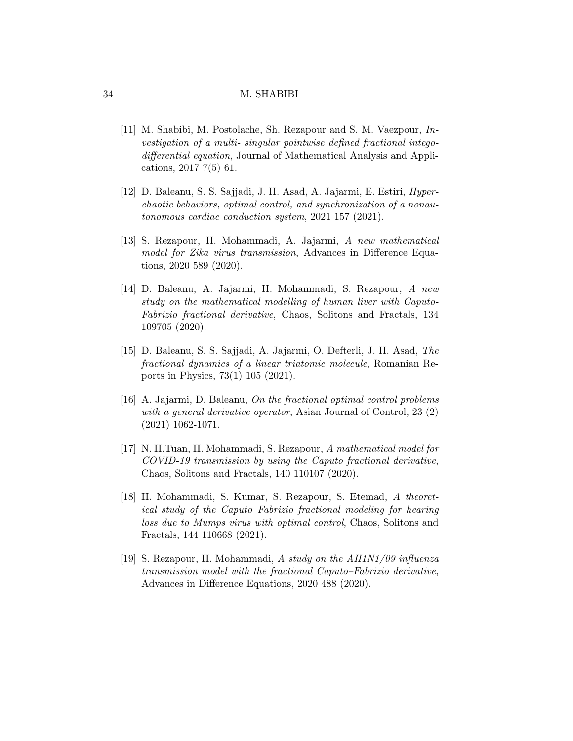- <span id="page-33-0"></span>[11] M. Shabibi, M. Postolache, Sh. Rezapour and S. M. Vaezpour, Investigation of a multi- singular pointwise defined fractional integodifferential equation, Journal of Mathematical Analysis and Applications, 2017 7(5) 61.
- <span id="page-33-1"></span>[12] D. Baleanu, S. S. Sajjadi, J. H. Asad, A. Jajarmi, E. Estiri, Hyperchaotic behaviors, optimal control, and synchronization of a nonautonomous cardiac conduction system, 2021 157 (2021).
- [13] S. Rezapour, H. Mohammadi, A. Jajarmi, A new mathematical model for Zika virus transmission, Advances in Difference Equations, 2020 589 (2020).
- [14] D. Baleanu, A. Jajarmi, H. Mohammadi, S. Rezapour, A new study on the mathematical modelling of human liver with Caputo-Fabrizio fractional derivative, Chaos, Solitons and Fractals, 134 109705 (2020).
- [15] D. Baleanu, S. S. Sajjadi, A. Jajarmi, O. Defterli, J. H. Asad, The fractional dynamics of a linear triatomic molecule, Romanian Reports in Physics, 73(1) 105 (2021).
- [16] A. Jajarmi, D. Baleanu, On the fractional optimal control problems with a general derivative operator, Asian Journal of Control, 23 (2) (2021) 1062-1071.
- [17] N. H.Tuan, H. Mohammadi, S. Rezapour, A mathematical model for COVID-19 transmission by using the Caputo fractional derivative, Chaos, Solitons and Fractals, 140 110107 (2020).
- [18] H. Mohammadi, S. Kumar, S. Rezapour, S. Etemad, A theoretical study of the Caputo–Fabrizio fractional modeling for hearing loss due to Mumps virus with optimal control, Chaos, Solitons and Fractals, 144 110668 (2021).
- [19] S. Rezapour, H. Mohammadi, A study on the AH1N1/09 influenza transmission model with the fractional Caputo–Fabrizio derivative, Advances in Difference Equations, 2020 488 (2020).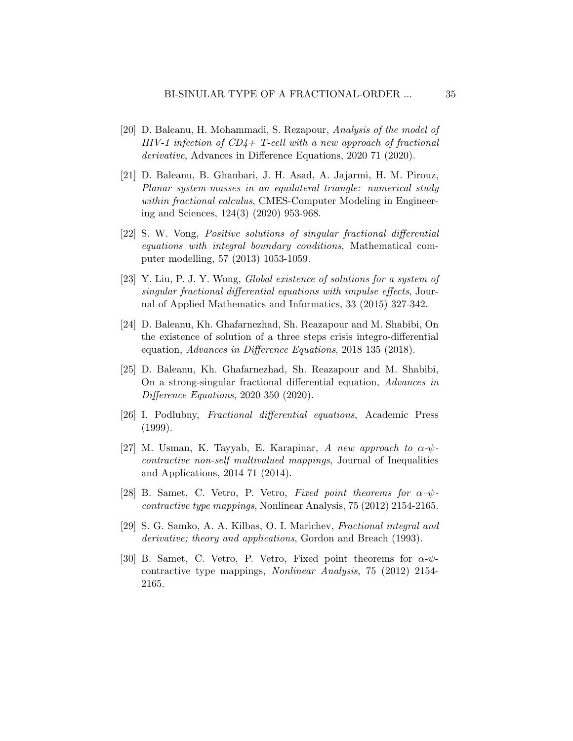- [20] D. Baleanu, H. Mohammadi, S. Rezapour, Analysis of the model of  $HIV-1$  infection of  $CD4+$  T-cell with a new approach of fractional derivative, Advances in Difference Equations, 2020 71 (2020).
- <span id="page-34-0"></span>[21] D. Baleanu, B. Ghanbari, J. H. Asad, A. Jajarmi, H. M. Pirouz, Planar system-masses in an equilateral triangle: numerical study within fractional calculus, CMES-Computer Modeling in Engineering and Sciences, 124(3) (2020) 953-968.
- <span id="page-34-1"></span>[22] S. W. Vong, Positive solutions of singular fractional differential equations with integral boundary conditions, Mathematical computer modelling, 57 (2013) 1053-1059.
- <span id="page-34-2"></span>[23] Y. Liu, P. J. Y. Wong, Global existence of solutions for a system of singular fractional differential equations with impulse effects, Journal of Applied Mathematics and Informatics, 33 (2015) 327-342.
- <span id="page-34-3"></span>[24] D. Baleanu, Kh. Ghafarnezhad, Sh. Reazapour and M. Shabibi, On the existence of solution of a three steps crisis integro-differential equation, Advances in Difference Equations, 2018 135 (2018).
- <span id="page-34-4"></span>[25] D. Baleanu, Kh. Ghafarnezhad, Sh. Reazapour and M. Shabibi, On a strong-singular fractional differential equation, Advances in Difference Equations, 2020 350 (2020).
- <span id="page-34-5"></span>[26] I. Podlubny, Fractional differential equations, Academic Press (1999).
- <span id="page-34-6"></span>[27] M. Usman, K. Tayyab, E. Karapinar, A new approach to  $\alpha$ - $\psi$ contractive non-self multivalued mappings, Journal of Inequalities and Applications, 2014 71 (2014).
- <span id="page-34-7"></span>[28] B. Samet, C. Vetro, P. Vetro, Fixed point theorems for  $\alpha-\psi$ contractive type mappings, Nonlinear Analysis, 75 (2012) 2154-2165.
- <span id="page-34-8"></span>[29] S. G. Samko, A. A. Kilbas, O. I. Marichev, Fractional integral and derivative; theory and applications, Gordon and Breach (1993).
- <span id="page-34-9"></span>[30] B. Samet, C. Vetro, P. Vetro, Fixed point theorems for  $\alpha$ - $\psi$ contractive type mappings, Nonlinear Analysis, 75 (2012) 2154- 2165.